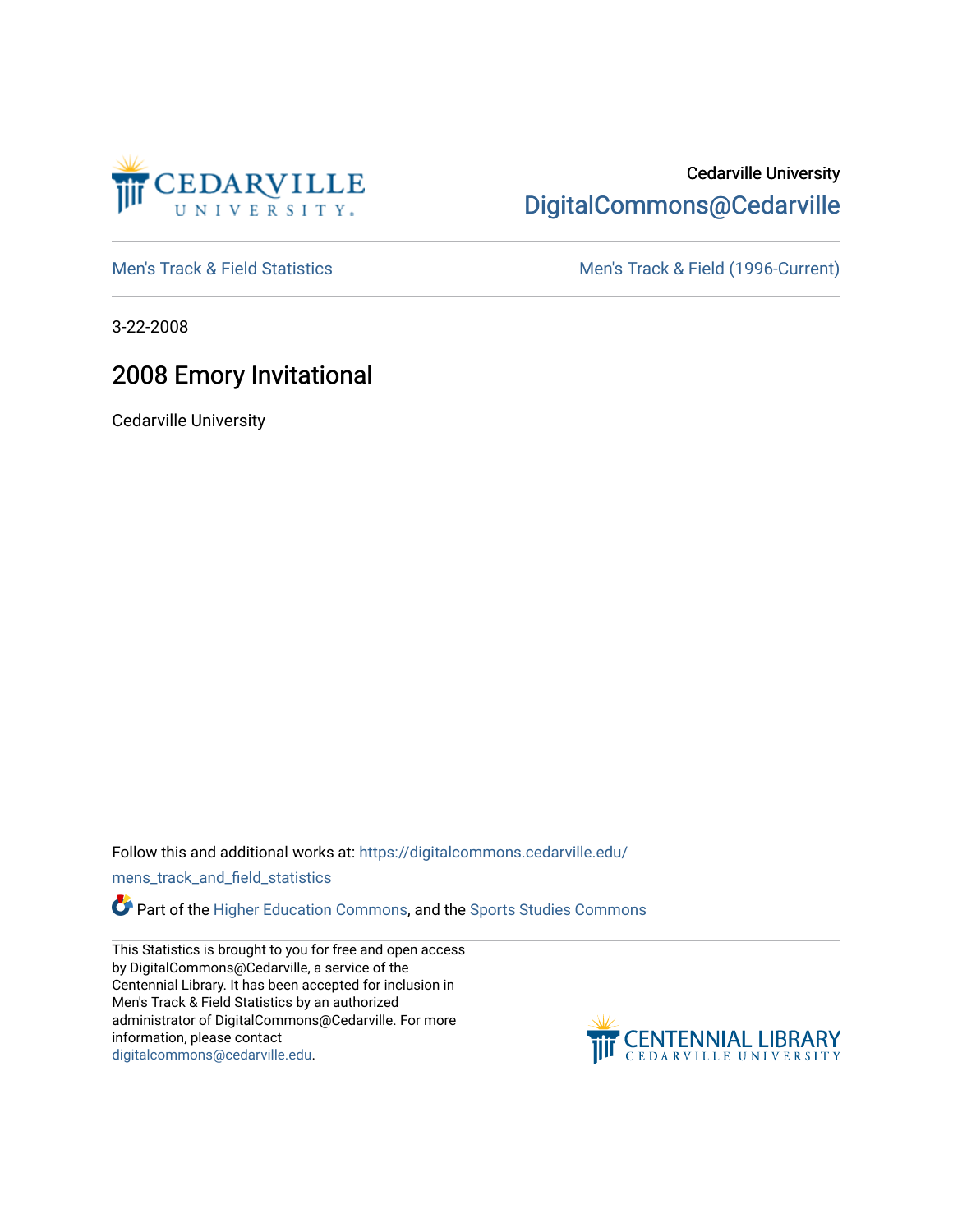

# Cedarville University [DigitalCommons@Cedarville](https://digitalcommons.cedarville.edu/)

[Men's Track & Field Statistics](https://digitalcommons.cedarville.edu/mens_track_and_field_statistics) [Men's Track & Field \(1996-Current\)](https://digitalcommons.cedarville.edu/mens_track_and_field) 

3-22-2008

# 2008 Emory Invitational

Cedarville University

Follow this and additional works at: [https://digitalcommons.cedarville.edu/](https://digitalcommons.cedarville.edu/mens_track_and_field_statistics?utm_source=digitalcommons.cedarville.edu%2Fmens_track_and_field_statistics%2F198&utm_medium=PDF&utm_campaign=PDFCoverPages)

[mens\\_track\\_and\\_field\\_statistics](https://digitalcommons.cedarville.edu/mens_track_and_field_statistics?utm_source=digitalcommons.cedarville.edu%2Fmens_track_and_field_statistics%2F198&utm_medium=PDF&utm_campaign=PDFCoverPages)

**Part of the [Higher Education Commons,](http://network.bepress.com/hgg/discipline/1245?utm_source=digitalcommons.cedarville.edu%2Fmens_track_and_field_statistics%2F198&utm_medium=PDF&utm_campaign=PDFCoverPages) and the Sports Studies Commons** 

This Statistics is brought to you for free and open access by DigitalCommons@Cedarville, a service of the Centennial Library. It has been accepted for inclusion in Men's Track & Field Statistics by an authorized administrator of DigitalCommons@Cedarville. For more information, please contact [digitalcommons@cedarville.edu](mailto:digitalcommons@cedarville.edu).

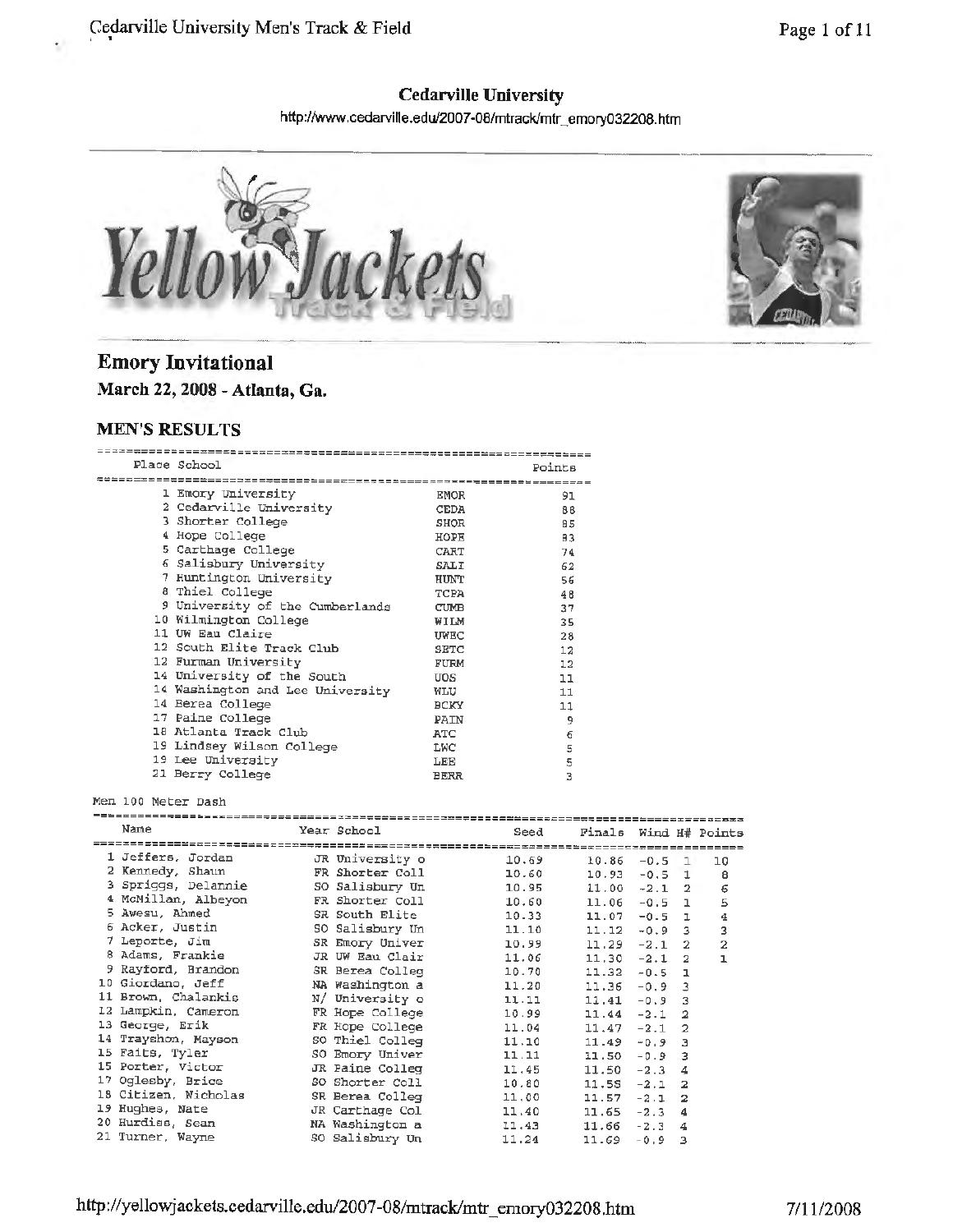# **Cedarville University**

http://www.cedarville.edu/2007-08/mtrack/mtr\_emory032208.htm



## **Emory Invitational March 22, 2008 - Atlanta, Ga.**

#### **MEN'S RESULTS**

s.

|  | Place School                     |             | Points |  |  |  |  |  |  |
|--|----------------------------------|-------------|--------|--|--|--|--|--|--|
|  |                                  |             |        |  |  |  |  |  |  |
|  | 1 Emory University               | <b>EMOR</b> | 91     |  |  |  |  |  |  |
|  | 2 Cedarville University          | <b>CEDA</b> | 88     |  |  |  |  |  |  |
|  | 3 Shorter College                | SHOR        | 85     |  |  |  |  |  |  |
|  | 4 Hope College                   | HOPE        | 83     |  |  |  |  |  |  |
|  | 5 Carthage College               | CART        | 74     |  |  |  |  |  |  |
|  | 6 Salisbury University           | SALI        | 62     |  |  |  |  |  |  |
|  | 7 Huntington University          | HUNT        | 56     |  |  |  |  |  |  |
|  | 8 Thiel College                  | <b>TCPA</b> | 48     |  |  |  |  |  |  |
|  | 9 University of the Cumberlands  | <b>CUMB</b> | 37     |  |  |  |  |  |  |
|  | 10 Wilmington College            | WILM        | 35     |  |  |  |  |  |  |
|  | 11 UW Eau Claire                 | UWEC        | 28     |  |  |  |  |  |  |
|  | 12 South Elite Track Club        | <b>SETC</b> | 12     |  |  |  |  |  |  |
|  | 12 Furman University             | FURM        | 12     |  |  |  |  |  |  |
|  | 14 University of the South       | UOS.        | 11     |  |  |  |  |  |  |
|  | 14 Washington and Lee University | WLU         | 11     |  |  |  |  |  |  |
|  | 14 Berea College                 | <b>BCKY</b> | 11     |  |  |  |  |  |  |
|  | 17 Paine College                 | PAIN        | 9      |  |  |  |  |  |  |
|  | 18 Atlanta Track Club            | <b>ATC</b>  | 6      |  |  |  |  |  |  |
|  | 19 Lindsey Wilson College        | LWC         | 5      |  |  |  |  |  |  |
|  | 19 Lee University                | LEE         | 5      |  |  |  |  |  |  |
|  | 21 Berry College                 | <b>BERR</b> | 3      |  |  |  |  |  |  |

#### Men 100 Meter Dash

| Name                 |  | Year School     | Seed  | Finals Wind H# Points |          |                |    |  |  |
|----------------------|--|-----------------|-------|-----------------------|----------|----------------|----|--|--|
|                      |  |                 |       |                       |          |                |    |  |  |
| 1 Jeffers, Jordan    |  | JR University o | 10.69 | 10.86                 | $-0.5$ 1 |                | 10 |  |  |
| 2 Kennedy, Shaun     |  | FR Shorter Coll | 10.60 | 10.93                 | $-0.5$   | -1.            | 8  |  |  |
| 3 Spriggs, Delannie  |  | SO Salisbury Un | 10.95 | $11.00 - 2.1$         |          | 2              | 6  |  |  |
| 4 McMillan, Albevon  |  | FR Shorter Coll | 10.60 | 11.06                 | $-0.5$   | $\mathbf{I}$   | 5  |  |  |
| 5 Awesu, Ahmed       |  | SR South Elite  | 10.33 | 11.07                 | $-0.5$   | L.             | 4  |  |  |
| 6 Acker, Justin      |  | SO Salisbury Un | 11.10 | 11.12                 | $-0.9$   | 3              | 3  |  |  |
| 7 Leporte, Jim       |  | SR Emory Univer | 10.99 | 11.29                 | $-2.1$   | $\overline{2}$ | 2  |  |  |
| 8 Adams, Frankie     |  | JR UW Eau Clair | 11.06 | 11,30                 | $-2.1$   | 2              | ı  |  |  |
| 9 Rayford, Brandon   |  | SR Berea Colleg | 10.70 | 11.32                 | $-0.5$   | ı              |    |  |  |
| 10 Giordano, Jeff    |  | NA Washington a | 11.20 | 11.36                 | $-0.9$   | 3              |    |  |  |
| 11 Brown, Chalankis  |  | N/ University o | 11.11 | 11.41                 | $-0.9$   | З              |    |  |  |
| 12 Lampkin, Cameron  |  | FR Hope College | 10.99 | 11.44                 | $-2.1$   | 2              |    |  |  |
| 13 George, Erik      |  | FR Hope College | 11.04 | 11.47                 | $-2.1$   | 2              |    |  |  |
| 14 Trayshon, Mayson  |  | SO Thiel Colleg | 11.10 | 11.49                 | $-0.9$   | Э              |    |  |  |
| 15 Faits, Tyler      |  | SO Emory Univer | 11.11 | 11,50                 | $-0.9$   | з              |    |  |  |
| 15 Porter, Victor    |  | JR Paine Colleg | 11.45 | 11.50                 | $-2.3$   | 4              |    |  |  |
| 17 Oglesby, Brice    |  | SO Shorter Coll | 10.80 | 11.55                 | $-2.1$   | 2              |    |  |  |
| 18 Citizen, Nicholas |  | SR Berea Colleg | 11,00 | 11.57                 | $-2.1$   | $\overline{2}$ |    |  |  |
| 19 Hughes, Nate      |  | JR Carthage Col | 11.40 | 11,65                 | $-2.3$   | 4              |    |  |  |
| 20 Hurdiss, Sean     |  | NA Washington a | 11.43 | 11.66                 | $-2.3$   | 4              |    |  |  |
| 21 Turner, Wayne     |  | SO Salisbury Un | 11.24 | 11.69                 | $-0.9$   | з              |    |  |  |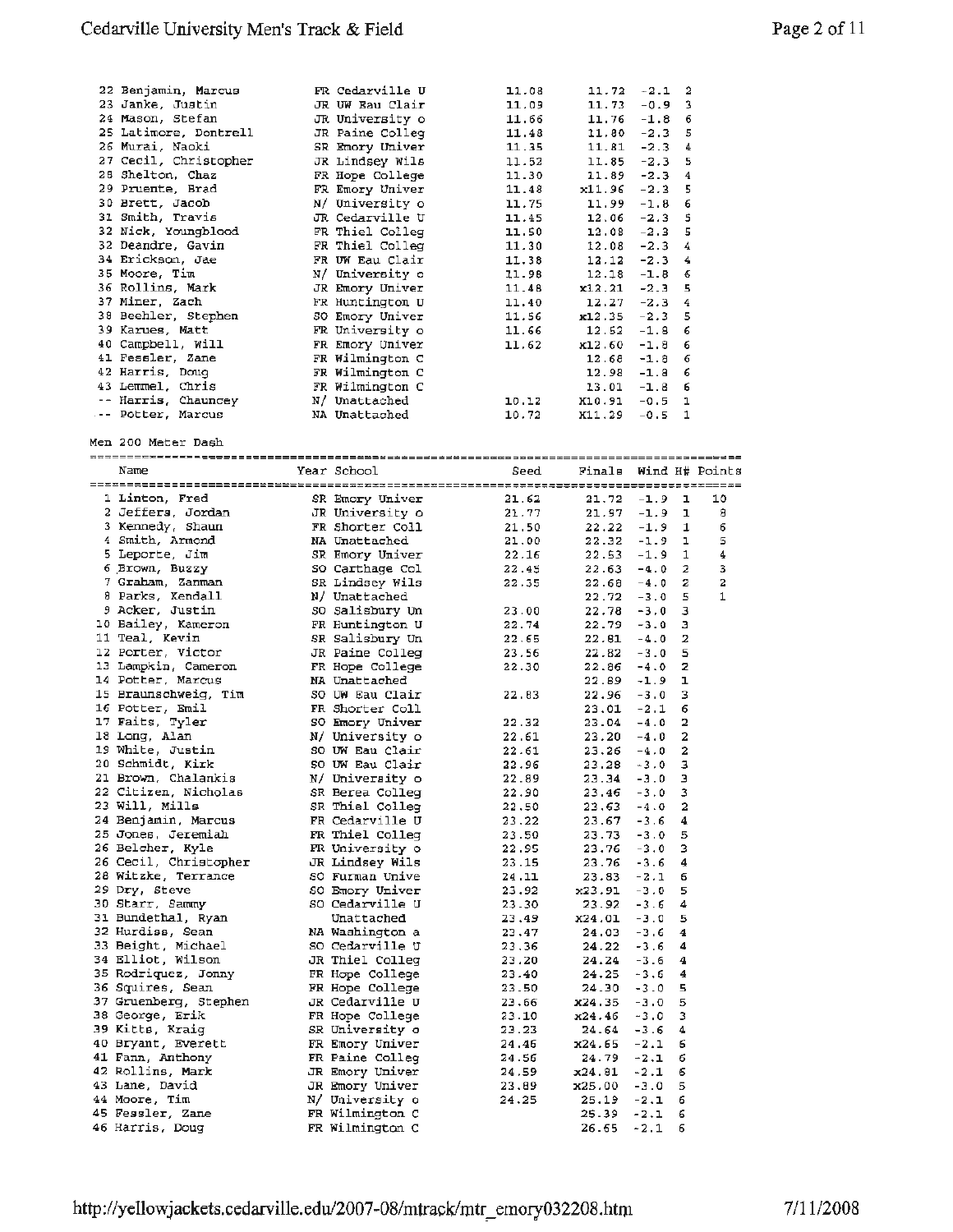| 22 Benjamin, Marcus   | FR Cedarville U | 11.08 | 11.72                 | $-2.1$   | 2                       |              |
|-----------------------|-----------------|-------|-----------------------|----------|-------------------------|--------------|
| 23 Janke, Justin      | JR UW Eau Clair | 11.09 | 11.73                 | $-0.9$   | з                       |              |
| 24 Mason, Stefan      | JR University o | 11.66 | 11.76                 | $-1.8$   | 6                       |              |
|                       |                 |       |                       |          |                         |              |
| 25 Latimore, Dontrell | JR Paine Colleg | 11.48 | 11,80                 | $-2.3$   | 5                       |              |
| 26 Murai, Naoki       | SR Emory Univer | 11.35 | 11.81                 | $-2.3$   | 4                       |              |
| 27 Cecil, Christopher | JR Lindsey Wils | 11.52 | 11.85                 | $-2.3$   | 5                       |              |
| 28 Shelton, Chaz      | FR Hope College | 11.30 | 11.89                 | $-2.3$   | 4                       |              |
| 29 Pruente, Brad      | FR Emory Univer | 11.48 | x11.96                | $-2.3$   | 5                       |              |
|                       |                 |       |                       |          |                         |              |
| 30 Brett, Jacob       | N/ University o | 11.75 | 11.99                 | $-1.8$   | 6                       |              |
| 31 Smith, Travis      | JR Cedarville U | 11.45 | 12.06                 | $-2.3$   | 5                       |              |
| 32 Nick, Youngblood   | FR Thiel Colleg | 11.50 | 12.08                 | $-2.3$   | 5                       |              |
| 32 Deandre, Gavin     | FR Thiel Colleq | 11.30 | 12.08                 | $-2.3$   | 4                       |              |
| 34 Erickson, Jae      | FR UW Eau Clair | 11.38 |                       | $-2.3$   | 4                       |              |
|                       |                 |       | 12.12                 |          |                         |              |
| 35 Moore, Tim         | N/ University o | 11.98 | 12.18                 | $-1.8$   | 6                       |              |
| 36 Rollins, Mark      | JR Emory Univer | 11.48 | x12.21                | $-2.3$   | 5                       |              |
| 37 Miner, Zach        | FR Huntington U | 11.40 | 12.27                 | $-2.3$   | 4                       |              |
| 38 Beehler, Stephen   | SO Emory Univer | 11.56 | $x12.35 - 2.3$        |          | 5                       |              |
| 39 Karues, Matt       |                 |       |                       |          |                         |              |
|                       | FR University o | 11.66 | 12.52                 | -1.8     | 6                       |              |
| 40 Campbell, Will     | FR Emory Univer | 11.62 | $x12.60 - 1.8$        |          | 6                       |              |
| 41 Fessler, Zane      | FR Wilmington C |       | 12.68                 | $-1.8$   | 6                       |              |
| 42 Harris, Doug       | FR Wilmington C |       | $12.98 - 1.8$         |          | 6                       |              |
| 43 Lemmel, Chris      | FR Wilmington C |       |                       | $-1.8$   | 6                       |              |
|                       |                 |       | 13.01                 |          |                         |              |
| -- Harris, Chauncey   | N/ Unattached   | 10.12 | $X10.91 - 0.5$        |          | ı                       |              |
| -- Potter, Marcus     | NA Unattached   | 10.72 | X11.29                | $-0.5$   | 1                       |              |
|                       |                 |       |                       |          |                         |              |
| Men 200 Meter Dash    |                 |       |                       |          |                         |              |
|                       |                 |       |                       |          |                         |              |
|                       |                 |       |                       |          |                         |              |
| Name                  | Year School     | Seed  | Finals Wind H# Points |          |                         |              |
|                       |                 |       |                       |          |                         |              |
| 1 Linton, Fred        | SR Emory Univer | 21.62 | $21.72 - 1.9$         |          | ı                       | 10           |
| 2 Jeffers, Jordan     | JR University o | 21.77 | $21.97 - 1.9$         |          | ı                       | 8            |
| 3 Kennedy, Shaun      | FR Shorter Coll | 21.50 | 22.22                 | $-1.9$   | 1                       | 6            |
|                       |                 |       |                       |          |                         |              |
| 4 Smith, Armond       | NA Unattached   | 21.00 | $22.32 - 1.9$         |          | ı                       | 5            |
| 5 Leporte, Jim        | SR Emory Univer | 22.16 | 22.53                 | -1.9     | 1                       | 4            |
| 6 Brown, Buzzy        | SO Carthage Col | 22.45 | $22.63 - 4.0$         |          | 2                       | 3            |
| 7 Graham, Zanman      | SR Lindsey Wils | 22.35 | 22.68                 | $-4.0$   | 2                       | $\mathbf{z}$ |
| 8 Parks, Kendall      | N/ Unattached   |       | 22.72                 | $-3.0$   | 5                       | 1            |
|                       |                 |       |                       |          |                         |              |
| 9 Acker, Justin       | SO Salisbury Un | 23.00 | 22.78                 | $-3.0$   | з                       |              |
| 10 Bailey, Kameron    | FR Huntington U | 22.74 | 22.79                 | $-3.0$   | з                       |              |
| 11 Teal, Kevin        | SR Salisbury Un | 22.65 | 22.61                 | $-4.0$   | 2                       |              |
| 12 Porter, Victor     | JR Paine Colleg | 23.56 | 22.82                 | $-3.0$   | 5                       |              |
| 13 Lampkin, Cameron   |                 | 22.30 |                       |          | 2                       |              |
|                       | FR Hope College |       | 22.86                 | $-4.0$   |                         |              |
| 14 Potter, Marcus     | NA Unattached   |       | 22.89                 | -1.9     | ı                       |              |
| 15 Braunschweig, Tim  | SO UW Eau Clair | 22.83 | 22.96                 | $-3.0$   | з                       |              |
| 16 Potter, Emil       | FR Shorter Coll |       | 23.01                 | $-2.1$   | 6                       |              |
| 17 Faits, Tyler       | SO Emory Univer | 22.32 | 23.04                 | $-4.0$   | 2                       |              |
|                       |                 |       |                       |          |                         |              |
| 18 Long, Alan         | N/ University o | 22.61 | 23.20                 | $-4.0$   | 2                       |              |
| 19 White, Justin      | SO UW Eau Clair | 22.61 | 23.26                 | $-4.0$   | $\overline{\mathbf{2}}$ |              |
| 20 Schmidt, Kirk      | 50 UW Eau Clair | 22.96 | 23.28                 | $-3.0$   | з                       |              |
| 21 Brown, Chalankis   | N/ University o | 22.89 | $23.34 - 3.0$         |          | э                       |              |
| 22 Citizen, Nicholas  | SR Berea Colleg | 22.90 | $23.46 - 3.0$         |          | 3                       |              |
| 23 Will, Mills        |                 |       |                       |          |                         |              |
|                       | SR Thiel Colleg | 22.50 | 23.63                 | $-4.0$   | 2                       |              |
| 24 Benjamin, Marcus   | FR Cedarville U | 23.22 | 23.67                 | $-3.6$   | 4                       |              |
| 25 Jones, Jeremiah    | FR Thiel Colleg | 23.50 | 23.73                 | $-3.0$   | 5                       |              |
| 26 Belcher, Kyle      | FR University o | 22.95 | 23.76                 | $-3.0$   | 3                       |              |
| 26 Cecil, Christopher | JR Lindsey Wils | 23.15 | 23.76                 | $-3.6$   | 4                       |              |
| 28 Witzke, Terrance   | SO Furman Unive |       |                       |          |                         |              |
|                       |                 | 24.11 | 23.83                 | $-2.1$   | 6                       |              |
| 29 Dry, Steve         | SO Emory Univer | 23.92 | x23.91                | $-3.0$   | 5                       |              |
| 30 Starr, Sammy       | SO Cedarville U | 23.30 | 23.92                 | $-3.6$   | 4                       |              |
| 31 Bundethal, Ryan    | Unattached      | 23.49 | x24.01                | $-3.0$   | 5                       |              |
| 32 Hurdiss, Sean      | NA Washington a | 23.47 | 24.03                 | -3.6     | 4                       |              |
|                       |                 |       |                       |          |                         |              |
| 33 Beight, Michael    | so Cedarville U | 23,36 | 24.22                 | $-3.6$   | 4                       |              |
| 34 Elliot, Wilson     | JR Thiel Colleg | 23.20 | 24.24                 | $-3.6$   | 4                       |              |
| 35 Rodriquez, Jonny   | FR Hope College | 23.40 | 24.25                 | $-3.6$   | 4                       |              |
| 36 Squires, Sean      | FR Hope College | 23.50 | 24.30                 | $-3.0$   | 5                       |              |
| 37 Gruenberg, Stephen | JR Cedarville U | 23.66 | x24.35                | $-3.0$   | 5                       |              |
|                       |                 |       |                       |          |                         |              |
| 38 George, Erik       | FR Hope College | 23.10 | x24.46                | $-3.0$   | 3                       |              |
| 39 Kitts, Kraig       | SR University o | 23.23 | 24.64                 | $-3.6$   | 4                       |              |
| 40 Bryant, Everett    | FR Emory Univer | 24.46 | x24.65                | $-2.1$   | 6                       |              |
| 41 Fann, Anthony      | FR Paine Colleg | 24.56 | 24.79                 | $-2.1$   | 6                       |              |
| 42 Rollins, Mark      | JR Emory Univer | 24.59 | x24.81                | $-2.1$   | 6                       |              |
|                       |                 |       |                       |          |                         |              |
| 43 Lane, David        | JR Emory Univer | 23.89 | x25.00                | $-3.0$   | 5                       |              |
| 44 Moore, Tim         | N/ University o | 24,25 | 25.19                 | $-2.1$   | 6                       |              |
|                       |                 |       | 25.39                 | $-2.1$   | 6                       |              |
| 45 Fessler, Zane      | FR Wilmington C |       |                       |          |                         |              |
| 46 Harris, Doug       | FR Wilmington C |       | 26.65                 | $-2.1$ 6 |                         |              |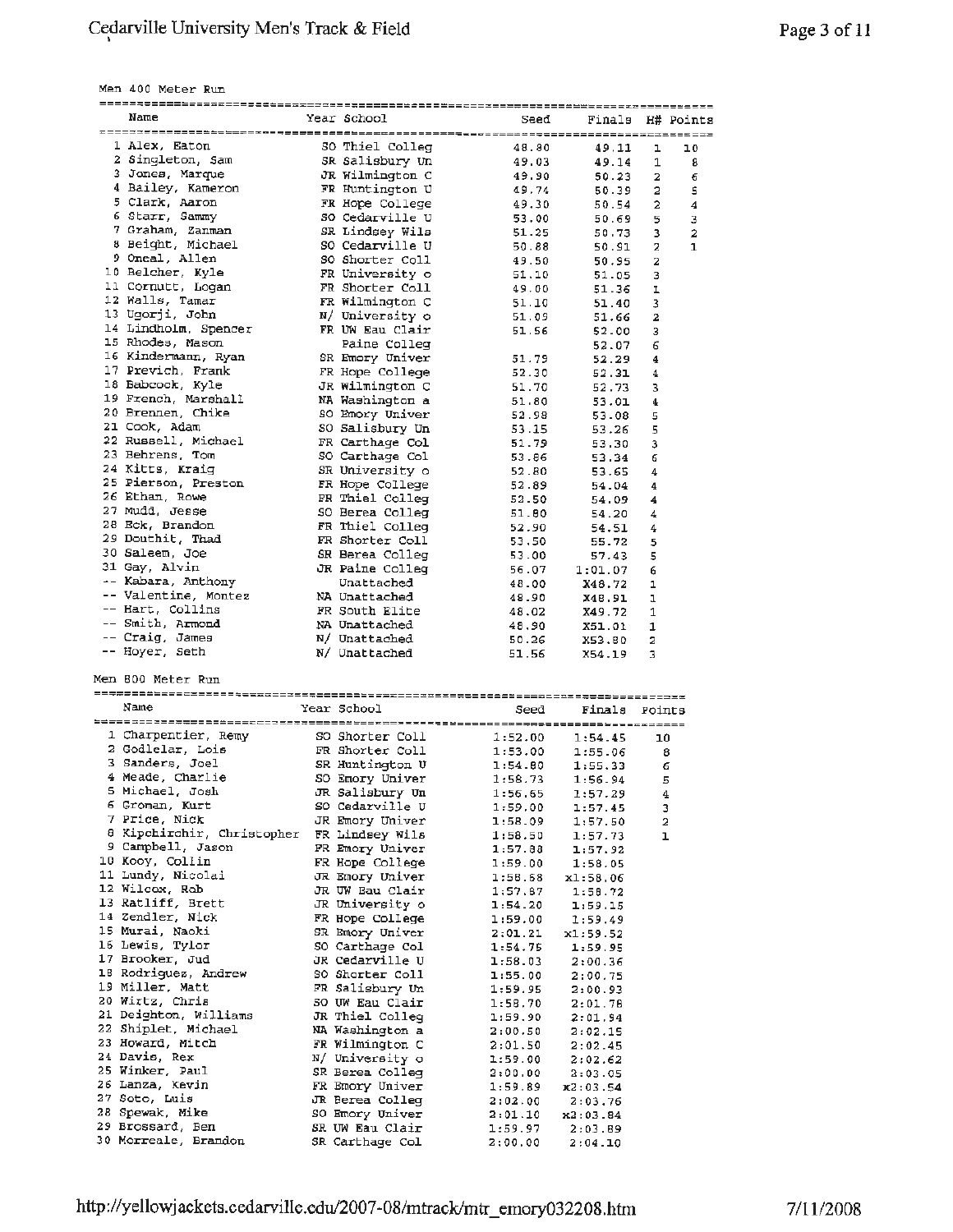Men 400 Meter Run

| Name                       | Year School     | Seed    |               | Finals H# Points             |
|----------------------------|-----------------|---------|---------------|------------------------------|
|                            |                 |         |               |                              |
| 1 Alex, Eaton              | SO Thiel Colleg | 48.80   | 49.11         | 10<br>ı                      |
| 2 Singleton, Sam           | SR Salisbury Un | 49.03   | 49.14         | 1<br>8                       |
| 3 Jones, Marque            | JR Wilmington C | 49.90   | 50.23         | $\overline{\mathbf{2}}$<br>6 |
| 4 Bailey, Kameron          | FR Huntington U |         |               |                              |
|                            |                 | 49.74   | 50.39         | 2<br>5                       |
| 5 Clark, Aaron             | FR Hope College | 49.30   | 50.54         | 2<br>4                       |
| 6 Starr, Sammy             | SO Cedarville U | 53.00   | 50.69         | 5<br>3                       |
| 7 Graham, Zanman           | SR Lindsey Wils | 51.25   | 50.73         | 2<br>3                       |
| 8 Beight, Michael          | SO Cedarville U |         |               |                              |
|                            |                 | 50.88   | 50.91         | 2<br>1                       |
| 9 Oneal, Allen             | SO Shorter Coll | 49.50   | 50.95         | 2                            |
| 10 Belcher, Kyle           | FR University o | 51.10   | 51.05         | 3                            |
| 11 Cornutt, Logan          | FR Shorter Coll | 49.00   | 51.36         | ı                            |
| 12 Walls, Tamar            |                 |         |               |                              |
|                            | FR Wilmington C | 51.10   | 51.40         | з                            |
| 13 Ugorji, John            | N/ University o | 51.09   | 51.66         | 2                            |
| 14 Lindholm, Spencer       | FR UW Eau Clair | 51.56   | 52.00         | 3                            |
| 15 Rhodes, Mason           | Paine Colleg    |         | 52.07         | 6                            |
| 16 Kindermann, Ryan        |                 |         |               |                              |
|                            | SR Emory Univer | 51.79   | 52.29         | 4                            |
| 17 Previch, Frank          | FR Hope College | 52.30   | 52.31         | 4                            |
| 18 Babcock, Kyle           | JR Wilmington C | 51.70   | 52.73         | 3                            |
| 19 French, Marshall        |                 |         |               |                              |
|                            | NA Washington a | 51.80   | 53.01         | 4                            |
| 20 Brennen, Chike          | SO Emory Univer | 52.98   | 53.08         | 5                            |
| 21 Cook, Adam              | SO Salisbury Un | 53.15   | 53.26         | 5                            |
| 22 Russell, Michael        | FR Carthage Col | 51.79   |               | 3                            |
|                            |                 |         | 53.30         |                              |
| 23 Behrens, Tom            | SO Carthage Col | 53.86   | 53.34         | б                            |
| 24 Kitts, Kraig            | SR University o | 52.80   | 53.65         | 4                            |
| 25 Pierson, Preston        | FR Hope College | 52.89   | 54.04         | 4                            |
| 26 Ethan, Rowe             |                 |         |               |                              |
|                            | FR Thiel Colleg | 52.50   | 54.09         | 4                            |
| 27 Mudd, Jesse             | SO Berea Colleg | 51.80   | 54.20         | 4                            |
| 28 Eck, Brandon            | FR Thiel Colleg | 52.90   | 54.51         | 4                            |
| 29 Douthit, Thad           | FR Shorter Coll |         |               |                              |
|                            |                 | 53,50   | 55.72         | 5                            |
| 30 Saleem, Joe             | SR Berea Colleg | 53.00   | 57.43         | 5                            |
| 31 Gay, Alvin              | JR Paine Colleg | 56.07   | 1:01.07       | 6                            |
| -- Kabara, Anthony         | Unattached      | 48.00   | X48.72        | 1                            |
| -- Valentine, Montez       |                 |         |               |                              |
|                            | NA Unattached   | 48.90   | X48.91        | ı                            |
| -- Hart, Collins           | FR South Elite  | 48.02   | X49.72        | 1                            |
| -- Smith, Armond           | NA Unattached   | 48.90   | X51.01        | 1                            |
| -- Craig, James            | N/ Unattached   |         |               |                              |
|                            |                 | 50.26   | X53.80        | 2                            |
| -- Hoyer, Seth             | N/ Unattached   | 51.56   | X54.19        | з                            |
|                            |                 |         |               |                              |
| Men 800 Meter Run          |                 |         |               |                              |
| Name                       | Year School     |         |               |                              |
|                            |                 | Seed    | Finals Points |                              |
|                            |                 |         |               |                              |
| 1 Charpentier, Remy        | SO Shorter Coll | 1:52.00 | 1:54.45       | 10                           |
| 2 Godlelar, Lois           | FR Shorter Coll | 1:53.00 | 1:55.06       | 8                            |
| 3 Sanders, Joel            | SR Huntington U |         |               |                              |
|                            |                 | 1:54.80 | 1:55.33       | 6                            |
| 4 Meade, Charlie           | SO Emory Univer | 1:58.73 | 1:56.94       | 5                            |
| 5 Michael, Josh            | JR Salisbury Un | 1:56.65 | 1:57.29       | 4                            |
| 6 Groman, Kurt             | SO Cedarville U | 1:59.00 | 1:57.45       | 3                            |
| 7 Price, Nick              |                 |         |               |                              |
|                            | JR Emory Univer | 1:58.09 | 1:57.50       | 2                            |
| 8 Kipchirchir, Christopher | FR Lindsey Wils | 1:58.50 | 1:57.73       | ı                            |
| 9 Campbell, Jason          | FR Emory Univer | 1:57.88 | 1:57.92       |                              |
| 10 Kooy, Collin            | FR Hope College | 1:59.00 | 1:58.05       |                              |
| 11 Lundy, Nicolai          |                 |         |               |                              |
|                            | JR Emory Univer | 1:58.68 | x1:58.06      |                              |
| 12 Wilcox, Rob             | JR UW Eau Clair | 1:57.87 | 1:58.72       |                              |
| 13 Ratliff, Brett          | JR University o | 1:54.20 | 1:59.15       |                              |
|                            | FR Hope College |         |               |                              |
|                            |                 |         |               |                              |
| 14 Zendler, Nick           |                 | 1:59.00 | 1:59.49       |                              |
| 15 Murai, Naoki            | SR Emory Univer | 2:01.21 | x1:59.52      |                              |
| 16 Lewis, Tylor            | SO Carthage Col | 1:54.75 |               |                              |
|                            |                 |         | 1:59.95       |                              |
| 17 Brooker, Jud            | JR Cedarville U | 1:58.03 | 2:00.36       |                              |
| 18 Rodriguez, Andrew       | SO Shorter Coll | 1:55.00 | 2:00.75       |                              |
| 19 Miller, Matt            | FR Salisbury Un | 1:59.95 | 2:00.93       |                              |
| 20 Wirtz, Chris            |                 |         |               |                              |
|                            | SO UW Eau Clair | 1:58.70 | 2:01.78       |                              |
| 21 Deighton, Williams      | JR Thiel Colleg | 1:59.90 | 2:01.94       |                              |
| 22 Shiplet, Michael        | NA Washington a | 2:00.50 | 2:02.15       |                              |
| 23 Howard, Mitch           | FR Wilmington C |         |               |                              |
|                            |                 | 2:01.50 | 2:02.45       |                              |
| 24 Davis, Rex              | N/ University o | 1:59.00 | 2:02.62       |                              |
| 25 Winker, Paul            | SR Berea Colleg | 2:00.00 | 2:03.05       |                              |
| 26 Lanza, Kevin            |                 |         |               |                              |
|                            | FR Emory Univer | 1:59.89 | x2:03.54      |                              |
| 27 Soto, Luis              | JR Berea Colleg | 2:02:00 | 2:03.76       |                              |
| 28 Spewak, Mike            | SO Emory Univer | 2:01.10 | x2:03.84      |                              |
| 29 Brossard, Ben           | SR UW Eau Clair | 1:59.97 | 2:03.89       |                              |
| 30 Morreale, Brandon       | SR Carthage Col | 2:00.00 | 2:04.10       |                              |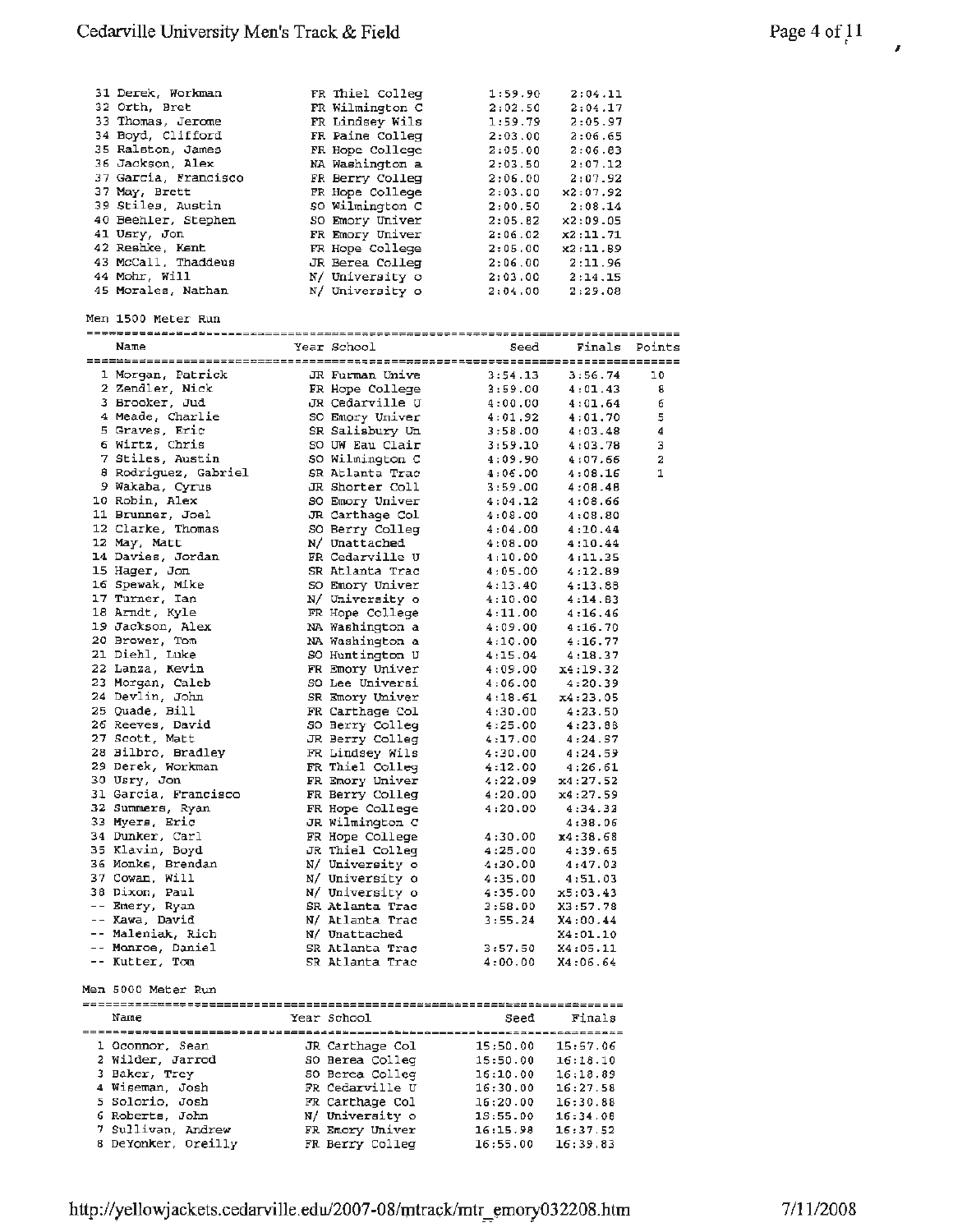| 31 Derek, Workman    | FR Thiel Colleg | 1:59.90           | 2:04.11  |               |
|----------------------|-----------------|-------------------|----------|---------------|
| 32 Orth, Bret        | FR Wilmington C | 2:02.50           | 2:04.17  |               |
| 33 Thomas, Jerome    | FR Lindsey Wils | 1:59.79           | 2:05.97  |               |
| 34 Boyd, Clifford    | FR Paine Colleg | 2:03.00           | 2:06.65  |               |
| 35 Ralston, James    |                 |                   |          |               |
|                      | FR Hope College | 2:05.00           | 2:06.83  |               |
| 36 Jackson, Alex     | NA Washington a | 2:03.50           | 2:07.12  |               |
| 37 Garcia, Francisco | FR Berry Colleg | 2:06.00           | 2:07.92  |               |
| 37 May, Brett        | FR Hope College | 2:03.00           | x2:07.92 |               |
| 39 Stiles, Austin    | so Wilmington C | 2:00.50           | 2:08.14  |               |
|                      |                 |                   |          |               |
| 40 Beehler, Stephen  | SO Emory Univer | 2:05.82           | x2:09.05 |               |
| 41 Usry, Jon         | FR Emory Univer | 2:06.02           | x2:11.71 |               |
| 42 Reshke, Kent      | FR Hope College | 2:05.00           | x2:11.89 |               |
| 43 McCall, Thaddeus  | JR Berea Colleg | 2:06.00           | 2:11.96  |               |
| 44 Mohr, Will        | N/ University o | 2:03.00           | 2:14.15  |               |
|                      |                 |                   |          |               |
| 45 Morales, Nathan   | N/ University o | 2:04.00           | 2:29.08  |               |
|                      |                 |                   |          |               |
| Men 1500 Meter Run   |                 |                   |          |               |
|                      |                 |                   |          |               |
| Name                 | Year School     | Seed              |          | Finals Points |
|                      |                 |                   |          |               |
|                      |                 |                   |          |               |
| 1 Morgan, Patrick    | JR Furman Unive | 3:54.13           | 3:56.74  | 10            |
| 2 Zendler, Nick      | FR Hope College | 3:59.00           | 4:01.43  | 8             |
| 3 Brooker, Jud       | JR Cedarville U | 4:00.00           | 4:01.64  | 6             |
|                      |                 |                   |          |               |
| 4 Meade, Charlie     | SO Emory Univer | 4:01.92           | 4:01.70  | 5             |
| 5 Graves, Eric       | SR Salisbury Un | 3:58.00           | 4:03.48  | 4             |
| 6 Wirtz, Chris       | SO UW Eau Clair | 3:59.10           | 4:03.78  | з             |
| 7 Stiles, Austin     | SO Wilmington C | 4:09.90           | 4:07.66  | 2             |
| 8 Rodriguez, Gabriel | SR Atlanta Trac | 4:06.00           | 4:08.16  | 1             |
|                      |                 |                   |          |               |
| 9 Wakaba, Cyrus      | JR Shorter Coll | 3:59.00           | 4:08.48  |               |
| 10 Robin, Alex       | SO Emory Univer | 4:04.12           | 4:08.66  |               |
| 11 Brunner, Joel     | JR Carthage Col | 4:08.00           | 4:08.80  |               |
| 12 Clarke, Thomas    | SO Berry Colleg | 4:04.00           | 4:10.44  |               |
|                      |                 |                   |          |               |
| 12 May, Matt         | N/ Unattached   | 4:08.00           | 4:10.44  |               |
| 14 Davies, Jordan    | FR Cedarville U | 4:10.00           | 4:11.35  |               |
| 15 Hager, Jon        | SR Atlanta Trac | 4:05.00           | 4:12.89  |               |
| 16 Spewak, Mike      | SO Emory Univer | 4:13.40           | 4:13.88  |               |
| 17 Turner, Ian       | N/ University o | 4:10.00           | 4:14.63  |               |
|                      |                 |                   |          |               |
| 18 Arndt, Kyle       | FR Hope College | 4:11.00           | 4:16.46  |               |
| 19 Jackson, Alex     | NA Washington a | 4:09.00           | 4:16.70  |               |
| 20 Brower, Tom       | NA Washington a | 4:10.00           | 4:16.77  |               |
| 21 Diehl, Luke       | SO Huntington U | 4:15.04           | 4:18.37  |               |
| 22 Lanza, Kevin      | FR Emory Univer | 4:09.00           | x4:19.32 |               |
|                      |                 |                   |          |               |
| 23 Morgan, Caleb     | SO Lee Universi | 4:06.00           | 4:20.39  |               |
| 24 Devlin, John      | SR Emory Univer | 4:18.61           | x4:23.05 |               |
| 25 Quade, Bill       | FR Carthage Col | 4:30.00           | 4:23.50  |               |
| 26 Reeves, David     | SO Berry Colleg | 4:25.00           | 4:23.88  |               |
| 27 Scott, Matt       |                 | 4:17.00           | 4:24.57  |               |
|                      | JR Berry Colleg |                   |          |               |
| 28 Bilbro, Bradley   | FR Lindsey Wils | 4:30.00           | 4:24.59  |               |
| 29 Derek, Workman    | FR Thiel Colleg | 4:12.00           | 4:26.61  |               |
| 30 Usry, Jon         | FR Emory Univer | 4:22.09           | x4:27.52 |               |
| 31 Garcia, Francisco | FR Berry Colleg | 4:20.00           | x4:27.59 |               |
| 32 Summers, Ryan     | FR Hope College | 4:20.00           |          |               |
|                      |                 |                   | 4:34.32  |               |
| 33 Myers, Eric       | JR Wilmington C |                   | 4:38.06  |               |
| 34 Dunker, Carl      | FR Hope College | 4:30.00           | x4:38.68 |               |
| 35 Klavin, Boyd      | JR Thiel Colleg | 4:25.00           | 4:39.65  |               |
| 36 Monks, Brendan    | N/ University o | 4:30.00           | 4:47.03  |               |
| 37 Cowan, Will       |                 |                   |          |               |
|                      | N/ University o | 4:35.00           | 4:51.03  |               |
| 38 Dixon, Paul       | N/ University o | 4:35.00           | x5:03.43 |               |
| -- Emery, Ryan       | SR Atlanta Trac | 3:58.00           | X3:57.78 |               |
| -- Kawa, David       | N/ Atlanta Trac | 3:55.24           | X4:00.44 |               |
| -- Maleniak, Rich    | N/ Unattached   |                   | X4:01.10 |               |
|                      |                 |                   |          |               |
| -- Monroe, Daniel    | SR Atlanta Trac | 3:57.50           | X4:05.11 |               |
| -- Kutter, Tom       | SR Atlanta Trac | 4:00.00           | X4:06.64 |               |
|                      |                 |                   |          |               |
| Men 5000 Meter Run   |                 |                   |          |               |
|                      |                 |                   |          |               |
|                      |                 |                   |          |               |
| Name                 | Year School     | Seed              | Finals   |               |
|                      |                 |                   |          |               |
| 1 Oconnor, Sean      | JR Carthage Col | 15:50.00          | 15:57.06 |               |
| 2 Wilder, Jarrod     | SO Berea Colleg | 15:50.00          | 16:18.10 |               |
|                      |                 |                   |          |               |
| 3 Baker, Trey        | 50 Berea Colleg | 16:10.00          | 16:18.89 |               |
| 4 Wiseman, Josh      | FR Cedarville U | 16:30.00          | 16:27.58 |               |
| 5 Solorio, Josh      | FR Carthage Col | 16:20.00          | 16:30.88 |               |
| 6 Roberts, John      | N/ University o | 1S:55.00          | 16:34.08 |               |
| 7 Sullivan, Andrew   | FR Emory Univer |                   |          |               |
|                      | FR Berry Colleg | 16:15.98          | 16:37.52 |               |
| 8 DeYonker, Oreilly  |                 | 16:55.00 16:39.83 |          |               |

*t I*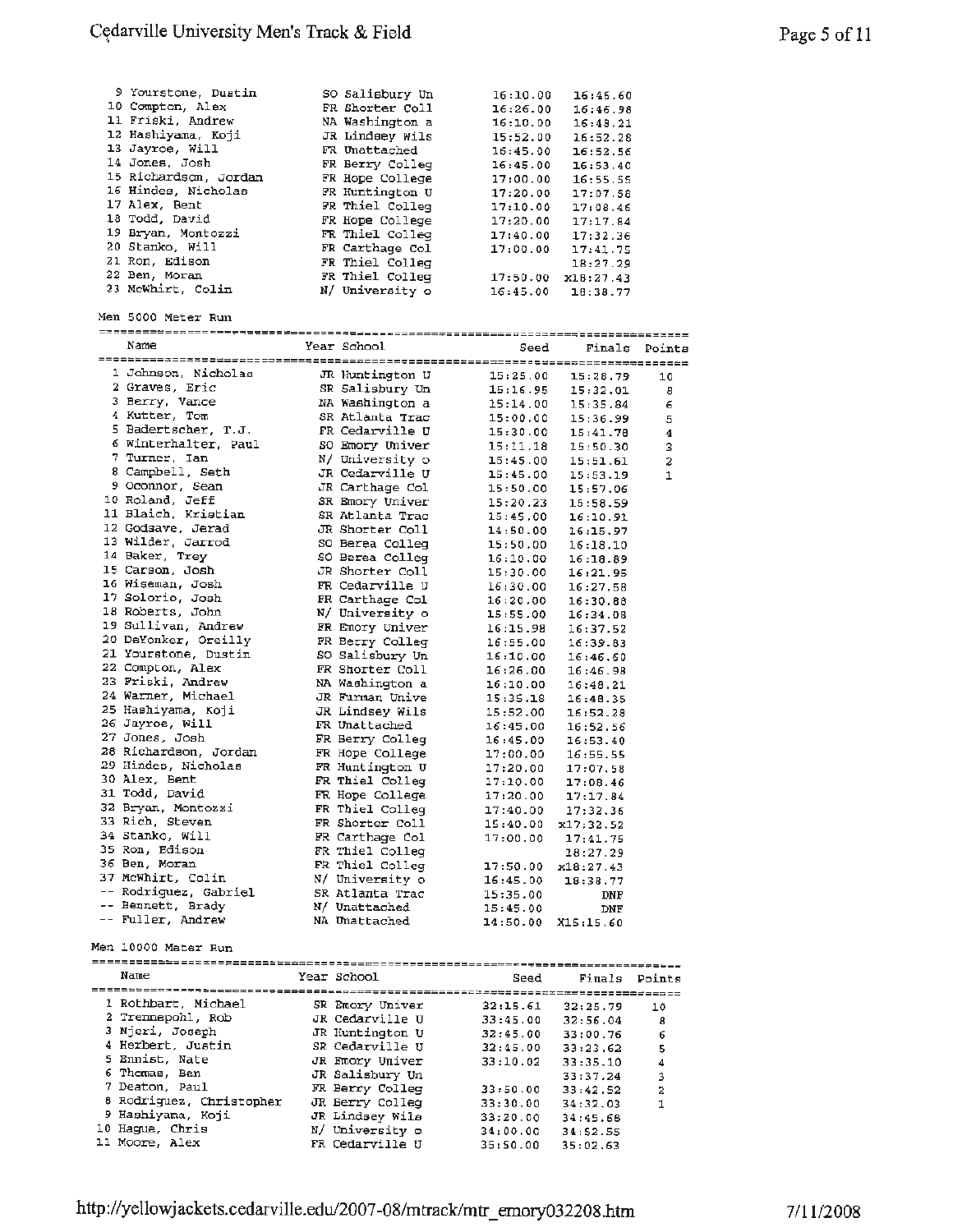| 9 Yourstone, Duatin<br>10 Compton, Alex<br>11 Friski, Andrew<br>12 Hashiyama, Koji<br>13 Jayroe, Will<br>14 Jones, Josh<br>15 Richardson, Jordan<br>16 Hindes, Nicholas<br>17 Alex, Bent<br>18 Todd, David<br>19 Bryan, Montozzi<br>20 Stanko, Will<br>21 Ron, Edison<br>22 Ben, Moran<br>23 McWhirt, Colin<br>Men 5000 Meter Run | SO Salisbury Un<br>FR Shorter Coll<br>NA Washington a<br>JR Lindsey Wils<br>FR Unattached<br>FR Berry Colleg<br>FR Hope College<br>FR Huntington U<br>FR Thiel Colleg<br>FR Hope College<br>FR Thiel Colleg<br>FR Carthage Col<br>FR Thiel Colleg<br>FR Thiel Colleg<br>N/ University o | 16:10.00<br>16:26.00<br>16:10.00<br>15:52.00<br>16:45.00<br>16:45.00<br>17:00.00<br>17:20.00<br>17:10.00<br>17:20.00<br>17:40.00<br>17:00.00<br>16:45.00 | 16:46.60<br>16:46.98<br>16:48.21<br>16:52.28<br>16:52.56<br>16:53.40<br>16:55.55<br>17:07.58<br>17:08.46<br>17:17.84<br>17:32.36<br>17:41.75<br>18:27.29<br>17:50.00 x18:27.43<br>18:38.77 |        |
|-----------------------------------------------------------------------------------------------------------------------------------------------------------------------------------------------------------------------------------------------------------------------------------------------------------------------------------|-----------------------------------------------------------------------------------------------------------------------------------------------------------------------------------------------------------------------------------------------------------------------------------------|----------------------------------------------------------------------------------------------------------------------------------------------------------|--------------------------------------------------------------------------------------------------------------------------------------------------------------------------------------------|--------|
| Name                                                                                                                                                                                                                                                                                                                              | Year School                                                                                                                                                                                                                                                                             | Seed                                                                                                                                                     | Finals                                                                                                                                                                                     | Points |
|                                                                                                                                                                                                                                                                                                                                   |                                                                                                                                                                                                                                                                                         |                                                                                                                                                          |                                                                                                                                                                                            |        |
| 1 Johnson, Nicholas                                                                                                                                                                                                                                                                                                               | JR Huntington U                                                                                                                                                                                                                                                                         | 15:25.00                                                                                                                                                 | 15:28.79                                                                                                                                                                                   | 10     |
| 2 Graves, Eric                                                                                                                                                                                                                                                                                                                    | SR Salisbury Un                                                                                                                                                                                                                                                                         | 15:16.95                                                                                                                                                 | 15:32.01                                                                                                                                                                                   | 8      |
| 3 Berry, Vance                                                                                                                                                                                                                                                                                                                    | NA Washington a                                                                                                                                                                                                                                                                         | 15:14.00                                                                                                                                                 | 15:35.84                                                                                                                                                                                   | 6      |
| 4 Kutter, Tom                                                                                                                                                                                                                                                                                                                     | SR Atlanta Trac                                                                                                                                                                                                                                                                         | 15:00.00                                                                                                                                                 | 15:36.99                                                                                                                                                                                   | 5      |
| 5 Badertscher, T.J.<br>6 Winterhalter, Paul                                                                                                                                                                                                                                                                                       | FR Cedarville U                                                                                                                                                                                                                                                                         | 15:30.00                                                                                                                                                 | 15:41.78                                                                                                                                                                                   | 4      |
| 7 Turner, Ian                                                                                                                                                                                                                                                                                                                     | SO Emory Univer                                                                                                                                                                                                                                                                         | 15:11.18                                                                                                                                                 | 15:50.30                                                                                                                                                                                   | 3      |
| 8 Campbell, Seth                                                                                                                                                                                                                                                                                                                  | N/ University o<br>JR Cedarville U                                                                                                                                                                                                                                                      | 15:45.00                                                                                                                                                 | 15:51.61                                                                                                                                                                                   | 2      |
| 9 Oconnor, Sean                                                                                                                                                                                                                                                                                                                   | JR Carthage Col                                                                                                                                                                                                                                                                         | 15:45.00<br>15:50.00                                                                                                                                     | 15:53.19                                                                                                                                                                                   | 1      |
| 10 Roland, Jeff                                                                                                                                                                                                                                                                                                                   | SR Emory Univer                                                                                                                                                                                                                                                                         | 15:20.23                                                                                                                                                 | 15:57.06<br>15:58.59                                                                                                                                                                       |        |
| 11 Blaich, Kristian                                                                                                                                                                                                                                                                                                               | SR Atlanta Trac                                                                                                                                                                                                                                                                         | 15:45.00                                                                                                                                                 | 16:10.91                                                                                                                                                                                   |        |
| 12 Godsave, Jerad                                                                                                                                                                                                                                                                                                                 | JR Shorter Coll                                                                                                                                                                                                                                                                         | 14:50.00                                                                                                                                                 | 16:15.97                                                                                                                                                                                   |        |
| 13 Wilder, Jarrod                                                                                                                                                                                                                                                                                                                 | SO Berea Colleg                                                                                                                                                                                                                                                                         | 15:50.00                                                                                                                                                 | 16:18.10                                                                                                                                                                                   |        |
| 14 Baker, Trey                                                                                                                                                                                                                                                                                                                    | SO Berea Colleg                                                                                                                                                                                                                                                                         | 16:10.00                                                                                                                                                 | 16:18.89                                                                                                                                                                                   |        |
| 15 Carson, Josh                                                                                                                                                                                                                                                                                                                   | JR Shorter Coll                                                                                                                                                                                                                                                                         | 15:30.00                                                                                                                                                 | 16:21.95                                                                                                                                                                                   |        |
| 16 Wiseman, Josh                                                                                                                                                                                                                                                                                                                  | FR Cedarville U                                                                                                                                                                                                                                                                         | 16:30.00                                                                                                                                                 | 16:27.58                                                                                                                                                                                   |        |
| 17 Solorio, Josh                                                                                                                                                                                                                                                                                                                  | FR Carthage Col                                                                                                                                                                                                                                                                         | 16:20.00                                                                                                                                                 | 16:30.88                                                                                                                                                                                   |        |
| 18 Roberts, John                                                                                                                                                                                                                                                                                                                  | N/ University o                                                                                                                                                                                                                                                                         | 15:55.00                                                                                                                                                 | 16:34.08                                                                                                                                                                                   |        |
| 19 Sullivan, Andrew                                                                                                                                                                                                                                                                                                               | FR Emory Univer                                                                                                                                                                                                                                                                         | 16:15.98                                                                                                                                                 | 16:37.52                                                                                                                                                                                   |        |
| 20 DeYonker, Oreilly                                                                                                                                                                                                                                                                                                              | FR Berry Colleg                                                                                                                                                                                                                                                                         | 16:55.00                                                                                                                                                 | 16:39.83                                                                                                                                                                                   |        |
| 21 Yourstone, Dustin                                                                                                                                                                                                                                                                                                              | SO Salisbury Un                                                                                                                                                                                                                                                                         | 16:10.00                                                                                                                                                 | 16:46.60                                                                                                                                                                                   |        |
| 22 Compton, Alex                                                                                                                                                                                                                                                                                                                  | FR Shorter Coll                                                                                                                                                                                                                                                                         | 16:26.00                                                                                                                                                 | 16:46.98                                                                                                                                                                                   |        |
| 23 Friski, Andrew<br>24 Warner, Michael                                                                                                                                                                                                                                                                                           | NA Washington a                                                                                                                                                                                                                                                                         | 16:10.00                                                                                                                                                 | 16:48.21                                                                                                                                                                                   |        |
| 25 Hashiyama, Koji                                                                                                                                                                                                                                                                                                                | JR Furman Unive                                                                                                                                                                                                                                                                         | 15:35.18                                                                                                                                                 | 16:48.35                                                                                                                                                                                   |        |
| 26 Jayroe, Will                                                                                                                                                                                                                                                                                                                   | JR Lindsey Wils<br>FR Unattached                                                                                                                                                                                                                                                        | 15:52.00                                                                                                                                                 | 16:52.28                                                                                                                                                                                   |        |
| 27 Jones, Josh                                                                                                                                                                                                                                                                                                                    | FR Berry Colleg                                                                                                                                                                                                                                                                         | 16:45.00<br>16:45.00                                                                                                                                     | 16:52.56<br>16:53.40                                                                                                                                                                       |        |
| 28 Richardson, Jordan                                                                                                                                                                                                                                                                                                             | FR Hope College                                                                                                                                                                                                                                                                         | 17:00.00                                                                                                                                                 | 16:55.55                                                                                                                                                                                   |        |
| 29 Hindes, Nicholas                                                                                                                                                                                                                                                                                                               | FR Huntington U                                                                                                                                                                                                                                                                         | 17:20.00                                                                                                                                                 | 17:07.58                                                                                                                                                                                   |        |
| 30 Alex, Bent                                                                                                                                                                                                                                                                                                                     | FR Thiel Colleg                                                                                                                                                                                                                                                                         | 17:10.00                                                                                                                                                 | 17:08.46                                                                                                                                                                                   |        |
| 31 Todd, David                                                                                                                                                                                                                                                                                                                    | FR Hope College                                                                                                                                                                                                                                                                         | 17:20.00                                                                                                                                                 | 17:17.84                                                                                                                                                                                   |        |
| 32 Bryan, Montozzi                                                                                                                                                                                                                                                                                                                | FR Thiel Colleq                                                                                                                                                                                                                                                                         | 17:40.00                                                                                                                                                 | 17:32.36                                                                                                                                                                                   |        |
| 33 Rich, Steven                                                                                                                                                                                                                                                                                                                   | FR Shorter Coll                                                                                                                                                                                                                                                                         | 15:40.00                                                                                                                                                 | x17;32.52                                                                                                                                                                                  |        |
| 34 Stanko, Will                                                                                                                                                                                                                                                                                                                   | FR Carthage Col                                                                                                                                                                                                                                                                         | 17:00.00                                                                                                                                                 | 17:41.75                                                                                                                                                                                   |        |
| 35 Ron, Edison                                                                                                                                                                                                                                                                                                                    | FR Thiel Colleg                                                                                                                                                                                                                                                                         |                                                                                                                                                          | 18:27.29                                                                                                                                                                                   |        |
| 36 Ben, Moran                                                                                                                                                                                                                                                                                                                     | FR Thiel Colleg                                                                                                                                                                                                                                                                         | 17:50.00                                                                                                                                                 | x18:27.43                                                                                                                                                                                  |        |
| 37 McWhirt, Colin<br>-- Rodriguez, Gabriel                                                                                                                                                                                                                                                                                        | N/ University o                                                                                                                                                                                                                                                                         | 16:45.00                                                                                                                                                 | 18:38.77                                                                                                                                                                                   |        |
| -- Bennett, Brady                                                                                                                                                                                                                                                                                                                 | SR Atlanta Trac                                                                                                                                                                                                                                                                         | 15:35.00                                                                                                                                                 | DNF                                                                                                                                                                                        |        |
| -- Fuller, Andrew                                                                                                                                                                                                                                                                                                                 | N/ Unattached<br>NA Unattached                                                                                                                                                                                                                                                          | 15:45.00                                                                                                                                                 | DNF                                                                                                                                                                                        |        |
|                                                                                                                                                                                                                                                                                                                                   |                                                                                                                                                                                                                                                                                         | 14:50.00                                                                                                                                                 | X15:15.60                                                                                                                                                                                  |        |
| Men 10000 Meter Run                                                                                                                                                                                                                                                                                                               |                                                                                                                                                                                                                                                                                         |                                                                                                                                                          |                                                                                                                                                                                            |        |
| Name                                                                                                                                                                                                                                                                                                                              | Year School                                                                                                                                                                                                                                                                             | Seed                                                                                                                                                     | Finals Points                                                                                                                                                                              |        |
|                                                                                                                                                                                                                                                                                                                                   |                                                                                                                                                                                                                                                                                         |                                                                                                                                                          |                                                                                                                                                                                            |        |
| 1 Rothbart, Michael<br>2. Trapponel pah                                                                                                                                                                                                                                                                                           | SR Emory Univer                                                                                                                                                                                                                                                                         | 32:15.61                                                                                                                                                 | 32:25.79                                                                                                                                                                                   | 10     |
|                                                                                                                                                                                                                                                                                                                                   |                                                                                                                                                                                                                                                                                         |                                                                                                                                                          |                                                                                                                                                                                            |        |

|                 |                                                                                                                                                     | rear achuu | seea                                                                                                                                                                                                                                       | rinais   | POINTS   |
|-----------------|-----------------------------------------------------------------------------------------------------------------------------------------------------|------------|--------------------------------------------------------------------------------------------------------------------------------------------------------------------------------------------------------------------------------------------|----------|----------|
|                 |                                                                                                                                                     |            |                                                                                                                                                                                                                                            |          |          |
|                 |                                                                                                                                                     |            |                                                                                                                                                                                                                                            |          | 10       |
|                 |                                                                                                                                                     |            | 33:45.00                                                                                                                                                                                                                                   | 32:56.04 | 8        |
|                 |                                                                                                                                                     |            | 32:45.00                                                                                                                                                                                                                                   | 33:00.76 | 6        |
|                 |                                                                                                                                                     |            | 32:45.00                                                                                                                                                                                                                                   | 33:23.62 | 5        |
|                 |                                                                                                                                                     |            | 33:10.02                                                                                                                                                                                                                                   | 33:35.10 | 4        |
| 6 Thomas, Ben   |                                                                                                                                                     |            |                                                                                                                                                                                                                                            | 33:37.24 | 3        |
| 7 Deaton, Paul  |                                                                                                                                                     |            | 33:50.00                                                                                                                                                                                                                                   | 33:42.52 | 2        |
|                 |                                                                                                                                                     |            | 33:30.00                                                                                                                                                                                                                                   | 34:32.03 | 1        |
|                 |                                                                                                                                                     |            | 33:20.00                                                                                                                                                                                                                                   | 34:45.68 |          |
| 10 Hague, Chris |                                                                                                                                                     |            | 34:00.00                                                                                                                                                                                                                                   | 34:52.55 |          |
| 11 Moore, Alex  |                                                                                                                                                     |            | 35:50.00                                                                                                                                                                                                                                   | 35:02.63 |          |
|                 | 1 Rothbart, Michael<br>2 Trennepohl, Rob<br>3 Njeri, Joseph<br>4 Herbert, Justin<br>5 Ennist, Nate<br>8 Rodriguez, Christopher<br>9 Hashiyama, Koji |            | =========================<br>SR Emory Univer<br>JR Cedarville U<br>JR Huntington U<br>SR Cedarville U<br>JR Emory Univer<br>JR Salisbury Un<br>FR Berry Colleg<br>JR Berry Colleg<br>JR Lindsey Wils<br>N/ University o<br>FR Cedarville U | 32:15.61 | 32:25.79 |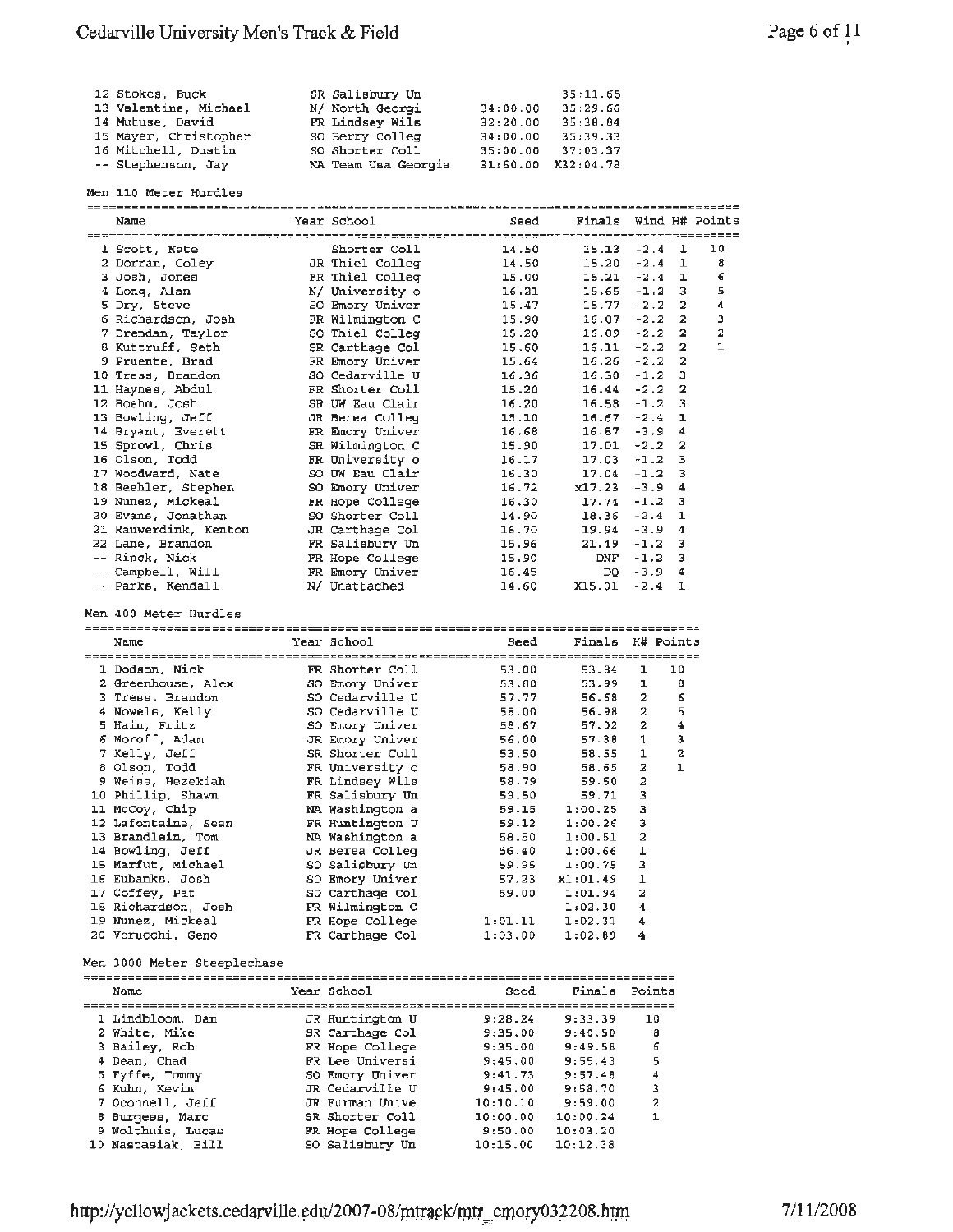| 12 Stokes, Buck       | SR Salisbury Un     |          | 35:11.68           |
|-----------------------|---------------------|----------|--------------------|
| 13 Valentine, Michael | N/ North Georgi     | 34:00.00 | 35:29.66           |
| 14 Mutuse. David      | FR Lindsey Wils     | 32:20.00 | 35:38.84           |
| 15 Mayer, Christopher | SO Berry Colleg     | 34:00.00 | 35:39.33           |
| 16 Mitchell, Dustin   | SO Shorter Coll     | 35:00.00 | 37:03.37           |
| -- Stephenson, Jay    | NA Team Usa Georgia |          | 31:50.00 X32:04.78 |

|  | Men 110 Meter Hurdles |
|--|-----------------------|
|  |                       |

| Name                                    | Year School                        | Seed                | Finals Wind H# Points |            |                    |    |
|-----------------------------------------|------------------------------------|---------------------|-----------------------|------------|--------------------|----|
|                                         |                                    |                     |                       |            |                    |    |
| 1 Scott, Nate                           | Shorter Coll                       | 14.50               | $15.13 - 2.4$ 1       |            |                    | 10 |
| 2 Dorran, Coley                         | JR Thiel Colleg                    | 14,50               | $15.20 - 2.4$         |            | 1                  | 8  |
| 3 Josh, Jones                           | FR Thiel Colleg                    | 15.00               | $15.21 -2.4$          |            | ı                  | 6  |
| 4 Long, Alan                            | N/ University o                    | 16.21               | $15.65 - 1.2$         |            | 3                  | 5  |
| 5 Dry, Steve                            | SO Emory Univer                    | 15.47               | $15.77 - 2.2$         |            | 2                  | 4  |
| 6 Richardson, Josh                      | FR Wilmington C                    | 15.90               | $16.07 - 2.2$         |            | - 2                | з  |
| 7 Brendan, Taylor                       | SO Thiel Colleg                    | 15.20               | $16.09 - 2.2$         |            | 2                  | 2  |
| 8 Kuttruff, Seth                        | SR Carthage Col                    | 15.60               | $16.11 - 2.2$         |            | 2                  | ı  |
| 9 Pruente, Brad                         | FR Emory Univer                    | 15.64               | $16.26 - 2.2$         |            | 2                  |    |
| 10 Tress, Brandon                       | SO Cedarville U                    | 16.36               | $16.30 - 1.2$         |            | 3                  |    |
| 11 Haynes, Abdul                        | FR Shorter Coll                    | 15.20               | $16.44 - 2.2$         |            | 2                  |    |
| 12 Boehm, Josh                          | SR UW Eau Clair                    | 16.20               | $16.58 - 1.2$         |            | з                  |    |
| 13 Bowling, Jeff                        | JR Berea Colleg                    | 15.10               | $16.67 - 2.4$         |            | ı                  |    |
| 14 Bryant, Everett                      | FR Emory Univer                    | 16.68               | $16.87 - 3.9$         |            | 4                  |    |
| 15 Sprowl, Chris                        | SR Wilmington C                    | 15.90               | $17.01 - 2.2$         |            | 2                  |    |
| 16 Olson, Todd                          | FR University o                    | 16.17               | $17.03 - 1.2$         |            | з                  |    |
| 17 Woodward, Nate                       | SO UW Eau Clair                    | 16.30               | $17.04 - 1.2$         |            | 3                  |    |
| 18 Beehler, Stephen                     | SO Emory Univer                    | 16.72               | $x17.23 - 3.9$        |            | 4                  |    |
| 19 Nunez, Mickeal                       | FR Hope College                    | 16.30               | $17.74 - 1.2$         |            | з                  |    |
| 20 Evans, Jonathan                      | SO Shorter Coll                    | 14.90               | $18.36 - 2.4$         |            | 1                  |    |
| 21 Rauwerdink, Kenton                   | JR Carthage Col                    | 16.70               | $19.94 - 3.9$         |            | $\overline{\bf 4}$ |    |
| 22 Lane, Brandon                        | FR Salisbury Un                    | 15.96               | $21.49 - 1.2$         |            | 3                  |    |
| -- Rinck, Nick                          | FR Hope College                    | 15.90               |                       | $DNF -1.2$ | з                  |    |
| -- Campbell, Will                       | FR Emory Univer                    | 16.45               | DQ.                   | $-3.9$     | 4                  |    |
| -- Parks, Kendall                       | N/ Unattached                      | 14.60               | X15.01                | $-2.4$ 1   |                    |    |
|                                         |                                    |                     |                       |            |                    |    |
| Men 400 Meter Hurdles                   |                                    |                     |                       |            |                    |    |
|                                         |                                    |                     |                       |            |                    |    |
| Name                                    | Year School                        | Seed                | Finals H# Points      |            |                    |    |
|                                         |                                    |                     |                       |            |                    |    |
| 1 Dodson, Nick                          | FR Shorter Coll                    | 53.00               | 53.84                 | ı          | 10                 |    |
| 2 Greenhouse, Alex                      | SO Emory Univer                    | 53.80               | 53.99                 | ı          | 8                  |    |
| 3 Tress, Brandon                        | SO Cedarville U                    | 57.77               | 56.68                 | 2          | 6                  |    |
| 4 Nowels, Kelly                         | SO Cedarville U                    | 58.00               | 56.98                 | 2          | 5                  |    |
| 5 Hain, Fritz                           | SO Emory Univer                    | 58.67               | 57.02                 | 2          | 4                  |    |
| 6 Moroff, Adam                          | JR Emory Univer                    | 56.00               | 57.38                 | 1          | з                  |    |
| 7 Kelly, Jeff                           | SR Shorter Coll                    | 53.50               | 58.55                 | 1          | 2                  |    |
| 8 Olson, Todd                           | FR University o                    | 58.90               | 58.65                 | 2          | ı                  |    |
| 9 Weiss, Hezekiah                       | FR Lindsey Wils                    | 58.79               | 59.50                 | 2          |                    |    |
| 10 Phillip, Shawn                       | FR Salisbury Un                    | 59.50               | 59.71                 | 3          |                    |    |
| 11 McCoy, Chip                          | NA Washington a                    | 59.15               | 1:00.25               | 3          |                    |    |
| 12 Lafontaine, Sean                     | FR Huntington U                    | 59.12               | 1:00.26               | з          |                    |    |
| 13 Brandlein, Tom                       | NA Washington a                    | 58.50               | 1:00.51               | 2          |                    |    |
| 14 Bowling, Jeff                        | JR Berea Colleg                    | 56.40               | 1:00.66               | 1          |                    |    |
| 15 Marfut, Michael                      | SO Salisbury Un                    | 59.95               | 1:00.75               | з          |                    |    |
| 16 Eubanks, Josh                        | SO Emory Univer                    | 57.23               | x1:01.49              | 1          |                    |    |
| 17 Coffey, Pat                          | SO Carthage Col                    | 59.00 -             | 1:01.94               |            |                    |    |
| 18 Richardson, Josh                     | FR Wilmington C                    |                     | 1:02.30               | 4          |                    |    |
| 19 Nunez, Mickeal                       | FR Hope College                    | 1:01.11             | 1:02.31               | 4          |                    |    |
| 20 Verucchi, Geno                       | FR Carthage Col                    | 1:03.00             | 1:02.89               | 4          |                    |    |
|                                         |                                    |                     |                       |            |                    |    |
| Men 3000 Meter Steeplechase             |                                    |                     |                       |            |                    |    |
|                                         |                                    |                     |                       |            |                    |    |
| Name                                    | Year School                        | Seed                | Finals                | Points     |                    |    |
|                                         |                                    |                     |                       |            |                    |    |
| 1 Lindbloom, Dan                        | JR Huntington U                    | 9:28.24             | 9:33.39               | 10         |                    |    |
| 2 White, Mike                           | SR Carthage Col                    | 9:35.00             | 9:40.50               | 8          |                    |    |
| 3 Bailey, Rob                           | FR Hope College                    | 9:35.00             | 9:49.58               | 6          |                    |    |
| 4 Dean, Chad                            | FR Lee Universi                    | 9:45.00             | 9:55.43               | 5          |                    |    |
| 5 Fyffe, Tommy                          | SO Emory Univer                    | 9:41.73             | 9:57.48               | 4          |                    |    |
| 6 Kuhn, Kevin                           | JR Cedarville U                    | 9:45.00             | 9:58.70               | 3<br>2     |                    |    |
|                                         |                                    |                     |                       |            |                    |    |
| 7 Oconnell, Jeff                        | JR Furman Unive                    | 10:10.10            | 9:59.00               |            |                    |    |
| 8 Burgess, Marc                         | SR Shorter Coll                    | 10:00.00            | 10:00.24              | 1          |                    |    |
| 9 Wolthuis, Lucas<br>10 Nastasiak, Bill | FR Hope College<br>SO Salisbury Un | 9:50.00<br>10:15.00 | 10:03.20<br>10:12.38  |            |                    |    |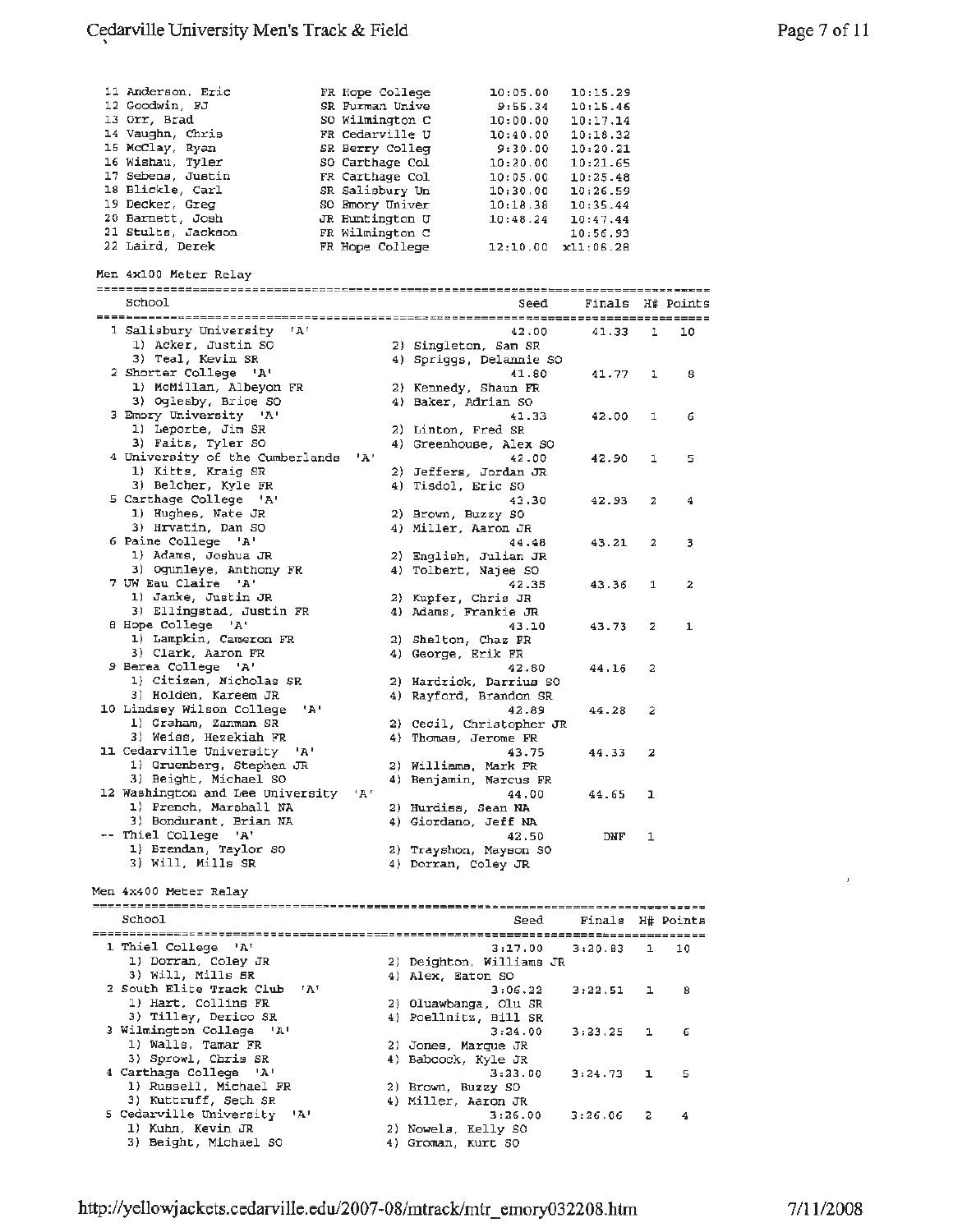| 11 Anderson, Eric                               | FR Hope College |                      | 10:05.00                                          | 10:15.29         |                         |                  |
|-------------------------------------------------|-----------------|----------------------|---------------------------------------------------|------------------|-------------------------|------------------|
| 12 Goodwin, FJ                                  | SR Furman Unive |                      | 9:55.34                                           | 10:15.46         |                         |                  |
| 13 Orr, Brad                                    | SO Wilmington C |                      | 10:00.00                                          | 10:17.14         |                         |                  |
| 14 Vaughn, Chris                                | FR Cedarville U |                      | 10:40.00                                          | 10:18.32         |                         |                  |
| 15 McClay, Ryan                                 | SR Berry Colleg |                      | 9:30.00                                           | 10:20.21         |                         |                  |
| 16 Wishau, Tyler                                | SO Carthage Col |                      | 10:20.00                                          | 10:21.65         |                         |                  |
| 17 Sebens, Justin                               | FR Carthage Col |                      | 10:05.00                                          | 10:25.48         |                         |                  |
| 18 Blickle, Carl                                | SR Salisbury Un |                      | 10:30.00                                          | 10:26.59         |                         |                  |
| 19 Decker, Greg                                 | SO Emory Univer |                      | 10:18.38                                          | 10:35.44         |                         |                  |
| 20 Barnett, Josh                                | JR Huntington U |                      | 10:48.24                                          | 10:47.44         |                         |                  |
| 21 Stults, Jackson                              | FR Wilmington C |                      |                                                   | 10:56.93         |                         |                  |
| 22 Laird, Derek                                 | FR Hope College |                      | $12:10.00$ $x11:08.28$                            |                  |                         |                  |
|                                                 |                 |                      |                                                   |                  |                         |                  |
| Men 4x100 Meter Relay                           |                 |                      |                                                   |                  |                         |                  |
|                                                 |                 |                      |                                                   |                  |                         |                  |
| School                                          |                 |                      | Seed                                              |                  |                         | Finals H# Points |
| 'A'                                             |                 |                      |                                                   |                  |                         |                  |
| 1 Salisbury University                          |                 |                      | 42.00                                             | 41.33            | 1                       | 10               |
| 1) Acker, Justin SO<br>3) Teal, Kevin SR        |                 |                      | 2) Singleton, Sam SR                              |                  |                         |                  |
| 2 Shorter College 'A'                           |                 |                      | 4) Spriggs, Delannie SO                           |                  |                         |                  |
| 1) McMillan, Albeyon FR                         |                 |                      | 41.80                                             | 41.77            | ı                       | 8                |
| 3) Oglesby, Brice SO                            |                 |                      | 2) Kennedy, Shaun FR                              |                  |                         |                  |
| 3 Emory University 'A'                          |                 |                      | 4) Baker, Adrian SO                               |                  |                         |                  |
|                                                 |                 |                      | 41.33                                             | 42.00            | 1                       | 6                |
| 1) Leporte, Jim SR<br>3) Faits, Tyler SO        |                 | 2) Linton, Fred SR   |                                                   |                  |                         |                  |
| 4 University of the Cumberlands                 |                 |                      | 4) Greenhouse, Alex SO                            |                  |                         |                  |
|                                                 | י בי            |                      | 42.00                                             | 42.90            | 1                       | 5                |
| 1) Kitts, Kraig SR                              |                 |                      | 2) Jeffers, Jordan JR                             |                  |                         |                  |
| 3) Belcher, Kyle FR<br>5 Carthage College 'A'   |                 | 4) Tisdol, Eric SO   |                                                   |                  |                         |                  |
| 1) Hughes, Nate JR                              |                 |                      | 43.30                                             | 42.93            | 2                       | 4                |
|                                                 |                 | 2) Brown, Buzzy SO   |                                                   |                  |                         |                  |
| 3) Hrvatin, Dan SO<br>6 Paine College 'A'       |                 |                      | 4) Miller, Aaron JR                               |                  |                         |                  |
| 1) Adams, Joshua JR                             |                 |                      | 44.48                                             | 43.21            | 2                       | з                |
| 3) Oqunleye, Anthony FR                         |                 |                      | 2) English, Julian JR                             |                  |                         |                  |
| 7 UW Eau Claire<br>י גי                         |                 |                      | 4) Tolbert, Najee SO                              |                  |                         |                  |
|                                                 |                 |                      | 42.35                                             | 43.36            | 1                       | 2                |
| 1) Janke, Justin JR<br>3) Ellingstad, Justin FR |                 |                      | 2) Kupfer, Chris JR                               |                  |                         |                  |
| 8 Hope College 'A'                              |                 |                      | 4) Adams, Frankie JR                              |                  |                         |                  |
| 1) Lampkin, Cameron FR                          |                 |                      | 43.10                                             | 43.73            | 2                       | 1                |
| 3) Clark, Aaron FR                              |                 |                      | 2) Shelton, Chaz FR                               |                  |                         |                  |
| 9 Berea College 'A'                             |                 | 4) George, Erik FR   |                                                   |                  |                         |                  |
| 1) Citizen, Nicholas SR                         |                 |                      | 42.80                                             | 44.16            | $\overline{\mathbf{c}}$ |                  |
| 3) Holden, Kareem JR                            |                 |                      | 2) Hardrick, Darrius SO<br>4) Rayford, Brandon SR |                  |                         |                  |
| 10 Lindsey Wilson College<br>יגי                |                 |                      |                                                   |                  |                         |                  |
| 1) Graham, Zanman SR                            |                 |                      | 42.89                                             | 44.28            | 2                       |                  |
| 3) Weiss, Hezekiah FR                           |                 |                      | 2) Cecil, Christopher JR                          |                  |                         |                  |
|                                                 |                 |                      |                                                   |                  |                         |                  |
|                                                 |                 | 4) Thomas, Jerome FR |                                                   |                  |                         |                  |
| 11 Cedarville University<br>יגי                 |                 |                      | 43.75                                             | 44.33            | 2                       |                  |
| 1) Gruenberg, Stephen JR                        |                 |                      | 2) Williams, Mark FR                              |                  |                         |                  |
| 3) Beight, Michael SO                           |                 |                      | 4) Benjamin, Marcus FR                            |                  |                         |                  |
| 12 Washington and Lee University 'A'            |                 |                      | 44.00                                             | 44.65            | ı                       |                  |
| 1) French, Marshall NA                          |                 |                      | 2) Hurdiss, Sean NA                               |                  |                         |                  |
| 3) Bondurant, Brian NA                          |                 |                      | 4) Giordano, Jeff NA                              |                  |                         |                  |
| -- Thiel College 'A'                            |                 |                      | 42.50                                             | DNF              | 1                       |                  |
| 1) Brendan, Taylor SO                           |                 |                      | 2) Trayshon, Mayson SO                            |                  |                         |                  |
| 3) Will, Mills SR                               |                 |                      | 4) Dorran, Coley JR                               |                  |                         |                  |
|                                                 |                 |                      |                                                   |                  |                         |                  |
| Men 4x400 Meter Relay                           |                 |                      |                                                   |                  |                         |                  |
|                                                 |                 |                      |                                                   |                  |                         |                  |
| School                                          |                 |                      | Seed                                              | Finals H# Points |                         |                  |
| 1 Thiel College 'A'                             |                 |                      | 3:17.00                                           | 3:20.83          | 1                       | 10               |
|                                                 |                 |                      |                                                   |                  |                         |                  |
| 1) Dorran, Coley JR<br>3) Will, Mills SR        |                 | 4) Alex, Eaton SO    | 2) Deighton, Williams JR                          |                  |                         |                  |
| 2 South Elite Track Club<br>- 'A'               |                 |                      | 3:06.22                                           |                  | ı.                      | 8                |
| 1) Hart, Collins FR                             |                 |                      | 2) Oluawbanga, Olu SR                             | 3:22.51          |                         |                  |
| 3) Tilley, Derico SR                            |                 |                      | 4) Poellnitz, Bill SR                             |                  |                         |                  |
| 3 Wilmington College 'A'                        |                 |                      | 3:24.00                                           | 3:23.25          | ı                       | 6                |
| 1) Walls, Tamar FR                              |                 | 2) Jones, Marque JR  |                                                   |                  |                         |                  |
| 3) Sprowl, Chris SR                             |                 | 4) Babcock, Kyle JR  |                                                   |                  |                         |                  |
| 4 Carthage College 'A'                          |                 |                      | 3:23.00                                           | 3:24.73          | ı                       | 5                |
| 1) Russell, Michael FR                          |                 | 2) Brown, Buzzy SO   |                                                   |                  |                         |                  |
| 3) Kuttruff, Seth SR                            |                 | 4) Miller, Aaron JR  |                                                   |                  |                         |                  |
| 5 Cedarville University<br>יגי                  |                 |                      | 3:26.00                                           | 3:26.06          | 2                       | 4                |
| 1) Kuhn, Kevin JR<br>3) Beight, Michael SO      |                 | 2) Nowels, Kelly SO  |                                                   |                  |                         |                  |

 $\ell$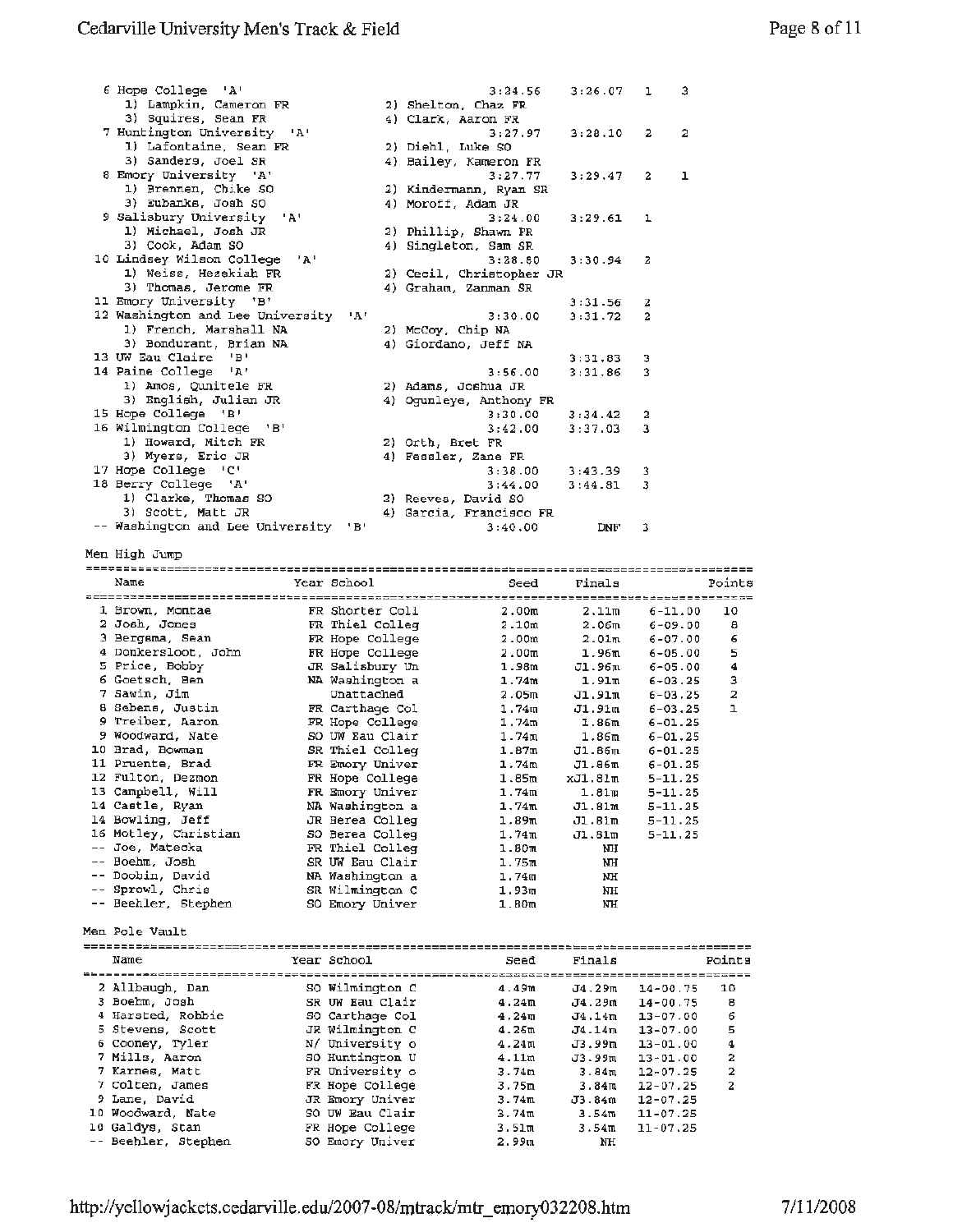| 6 Hope College 'A'                        | 3:24.56                  | $3:26.07$ 1 |                | -3 |
|-------------------------------------------|--------------------------|-------------|----------------|----|
| 1) Lampkin, Cameron FR                    | 2) Shelton, Chaz FR      |             |                |    |
| 3) Squires, Sean FR                       | 4) Clark, Aaron FR       |             |                |    |
| 7 Huntington University 'A'               | 3:27.97                  | 3:28.10     | $\overline{2}$ | 2  |
| 1) Lafontaine, Sean FR                    | 2) Diehl, Luke SO        |             |                |    |
| 3) Sanders, Joel SR                       | 4) Bailey, Kameron FR    |             |                |    |
| 8 Emory University 'A'                    | 3:27.77                  | 3:29.47     | $\overline{2}$ | 1  |
| 1) Brennen, Chike SO                      | 2) Kindermann, Ryan SR   |             |                |    |
| 3) Eubanks, Josh SO                       | 4) Moroff, Adam JR       |             |                |    |
| 9 Salisbury University 'A'                | 3:24.00                  | $3:29.61$ 1 |                |    |
| 1) Michael, Josh JR                       | 2) Phillip, Shawn FR     |             |                |    |
| 3) Cook, Adam SO                          | 4) Singleton, Sam SR     |             |                |    |
| 10 Lindsey Wilson College 'A'             | 3:28.80                  | $3:30.94$ 2 |                |    |
| 1) Weiss, Hezekiah FR                     | 2) Cecil, Christopher JR |             |                |    |
| 3) Thomas, Jerome FR                      | 4) Graham, Zanman SR     |             |                |    |
| 11 Emory University 'B'                   |                          | 3:31.56     | 2              |    |
| 12 Washington and Lee University<br>- 'A' | 3:30.00                  | 3:31.72     | 2              |    |
| 1) French, Marshall NA                    | 2) McCoy, Chip NA        |             |                |    |
| 3) Bondurant, Brian NA                    | 4) Giordano, Jeff NA     |             |                |    |
| 13 UW Eau Claire<br>ு நா                  |                          | 3:31.83     | з              |    |
| 14 Paine College 'A'                      | 3:56.00                  | 3:31.86     | 3              |    |

| 1) Amos, Qunitele FR<br>3) English, Julian JR<br>15 Hope College 'B'<br>16 Wilmington College<br>$^{\dagger}$ B $^{\dagger}$<br>1) Howard, Mitch FR<br>3) Myers, Eric JR<br>17 Hope College 'C'<br>18 Berry College 'A'<br>1) Clarke, Thomas SO |                 | 2) Adams, Joshua JR<br>4) Ogunleye, Anthony FR<br>3:30.00<br>3:42.00<br>2) Orth, Bret FR<br>4) Fessler, Zane FR<br>3:38.00<br>3:44.00<br>2) Reeves, David SO | 3:34.42<br>3:37.03<br>3:43.39<br>3:44.81 | 2<br>з<br>3<br>3           |                |
|-------------------------------------------------------------------------------------------------------------------------------------------------------------------------------------------------------------------------------------------------|-----------------|--------------------------------------------------------------------------------------------------------------------------------------------------------------|------------------------------------------|----------------------------|----------------|
| 3) Scott, Matt JR<br>-- Washington and Lee University 'B'                                                                                                                                                                                       |                 | 4) Garcia, Francisco FR<br>3:40.00                                                                                                                           | DNF                                      | 3                          |                |
| Men High Jump                                                                                                                                                                                                                                   |                 |                                                                                                                                                              |                                          |                            |                |
|                                                                                                                                                                                                                                                 |                 |                                                                                                                                                              |                                          |                            |                |
| Name                                                                                                                                                                                                                                            | Year School     | Seed                                                                                                                                                         | Finals                                   |                            | Points         |
| 1 Brown, Montae                                                                                                                                                                                                                                 | FR Shorter Coll | 2.00 <sub>m</sub>                                                                                                                                            | 2.11m                                    | $6 - 11.00$                | 10             |
| 2 Josh, Jones                                                                                                                                                                                                                                   | FR Thiel Colleg | 2.10m                                                                                                                                                        | 2.06 <sub>m</sub>                        | $6 - 09.00$                | 8              |
| 3 Bergsma, Sean                                                                                                                                                                                                                                 | FR Hope College | 2.00 <sub>m</sub>                                                                                                                                            | 2.01 <sub>m</sub>                        | $6 - 07.00$                | 6              |
| 4 Donkersloot, John                                                                                                                                                                                                                             | FR Hope College | 2.00m                                                                                                                                                        | 1.96 <sub>m</sub>                        | $6 - 05.00$                | 5              |
| 5 Price, Bobby                                                                                                                                                                                                                                  | JR Salisbury Un | 1.98m                                                                                                                                                        | Jl.96m                                   | $6 - 05.00$                | 4              |
| 6 Goetsch, Ben                                                                                                                                                                                                                                  | NA Washington a | 1.74m                                                                                                                                                        | 1.91m                                    | $6 - 03.25$                | з              |
| 7 Sawin, Jim                                                                                                                                                                                                                                    | Unattached      | 2.05m                                                                                                                                                        | J1.91m                                   | $6 - 03.25$                | 2              |
| 8 Sebens, Justin                                                                                                                                                                                                                                | FR Carthage Col | 1.74 <sub>II</sub>                                                                                                                                           | J1.91m                                   | $6 - 03.25$                | $\mathbf{1}$   |
| 9 Treiber, Aaron                                                                                                                                                                                                                                | FR Hope College | 1.74m                                                                                                                                                        | 1.86m                                    | $6 - 01.25$                |                |
| 9 Woodward, Nate                                                                                                                                                                                                                                | SO UW Eau Clair | 1.74m                                                                                                                                                        | 1.86 <sub>m</sub>                        | $6 - 01.25$                |                |
| 10 Brad, Bowman                                                                                                                                                                                                                                 | SR Thiel Colleg | 1.87m                                                                                                                                                        | J1.86m                                   | $6 - 01.25$                |                |
| 11 Pruente, Brad                                                                                                                                                                                                                                | FR Emory Univer | 1.74m                                                                                                                                                        | J1.86m                                   | $6 - 01.25$                |                |
| 12 Fulton, Dezmon                                                                                                                                                                                                                               | FR Hope College | 1.85m                                                                                                                                                        | xJ1.81m                                  | $5 - 11.25$                |                |
| 13 Campbell, Will                                                                                                                                                                                                                               | FR Emory Univer | 1.74m                                                                                                                                                        | 1.81m                                    | $5 - 11 - 25$              |                |
| 14 Castle, Ryan                                                                                                                                                                                                                                 | NA Washington a | 1.74 <sub>m</sub>                                                                                                                                            | J1.81m                                   | $5 - 11.25$                |                |
| 14 Bowling, Jeff                                                                                                                                                                                                                                | JR Berea Colleg | 1.89 <sub>m</sub>                                                                                                                                            |                                          |                            |                |
| 16 Motley, Christian                                                                                                                                                                                                                            | SO Berea Colleg | 1.74m                                                                                                                                                        | J1.81m<br>J1.81m                         | $5 - 11.25$<br>$5 - 11.25$ |                |
| -- Joe, Matecka                                                                                                                                                                                                                                 | FR Thiel Colleg | 1.80mm                                                                                                                                                       | NH                                       |                            |                |
| -- Boehm, Josh                                                                                                                                                                                                                                  |                 |                                                                                                                                                              |                                          |                            |                |
| -- Doobin, David                                                                                                                                                                                                                                | SR UW Eau Clair | 1.75m                                                                                                                                                        | NH                                       |                            |                |
|                                                                                                                                                                                                                                                 | NA Washington a | 1.74 <sub>m</sub>                                                                                                                                            | NH                                       |                            |                |
| -- Sprowl, Chris                                                                                                                                                                                                                                | sk Wilmington C | 1.93m                                                                                                                                                        | NH                                       |                            |                |
| -- Beehler, Stephen                                                                                                                                                                                                                             | SO Emory Univer | 1.80 <sub>m</sub>                                                                                                                                            | NH                                       |                            |                |
| Men Pole Vault                                                                                                                                                                                                                                  |                 |                                                                                                                                                              |                                          |                            |                |
|                                                                                                                                                                                                                                                 |                 |                                                                                                                                                              |                                          |                            |                |
| Name                                                                                                                                                                                                                                            | Year School     | Seed                                                                                                                                                         | Finals                                   |                            | Points         |
|                                                                                                                                                                                                                                                 |                 |                                                                                                                                                              |                                          |                            |                |
| 2 Allbaugh, Dan                                                                                                                                                                                                                                 | SQ Wilmington C | 4.49m                                                                                                                                                        | $J4.29\pi$                               | $14 - 00.75$               | 10             |
| 3 Boehm, Josh                                                                                                                                                                                                                                   | SR UW Eau Clair | 4.24m                                                                                                                                                        | J4.29m                                   | $14 - 00.75$               | 8              |
| 4 Harsted, Robbie                                                                                                                                                                                                                               | SO Carthage Col | 4.24 <sub>π</sub>                                                                                                                                            | J4.14m                                   | $13 - 07.00$               | 6              |
| 5 Stevens, Scott                                                                                                                                                                                                                                | JR Wilmington C | 4.26m                                                                                                                                                        | J4.14m                                   | $13 - 07.00$               | 5              |
| 6 Cooney, Tyler                                                                                                                                                                                                                                 | N/ University o | 4.24 <sub>π</sub>                                                                                                                                            | J3.99m                                   | $13 - 01.00$               | 4              |
| 7 Mills, Aaron                                                                                                                                                                                                                                  | so Huntington U | 4.11m                                                                                                                                                        | J3.99m                                   | $13 - 01.00$               | 2              |
| 7 Karnes, Matt                                                                                                                                                                                                                                  | FR University o | 3.74m                                                                                                                                                        | 3.84m                                    | $12 - 07 - 25$             | $\mathbf{z}$   |
| 7 Colten, James                                                                                                                                                                                                                                 | FR Hope College | 3,75m                                                                                                                                                        | 3.84π                                    | $12 - 07.25$               | $\overline{a}$ |
| 9 Lane, David                                                                                                                                                                                                                                   | JR Emory Univer | 3.74m                                                                                                                                                        | J3.84m                                   | $12 - 07.25$               |                |
| 10 Woodward, Nate                                                                                                                                                                                                                               | SO UW Eau Clair | 3.74m                                                                                                                                                        | 3.54m                                    | $11 - 07.25$               |                |
| 10 Galdys, Stan                                                                                                                                                                                                                                 | FR Hope College | 3.51m                                                                                                                                                        | 3.54m                                    | $11 - 07.25$               |                |
| -- Beehler, Stephen                                                                                                                                                                                                                             | SO Emory Univer | 2.99 ա                                                                                                                                                       | NH                                       |                            |                |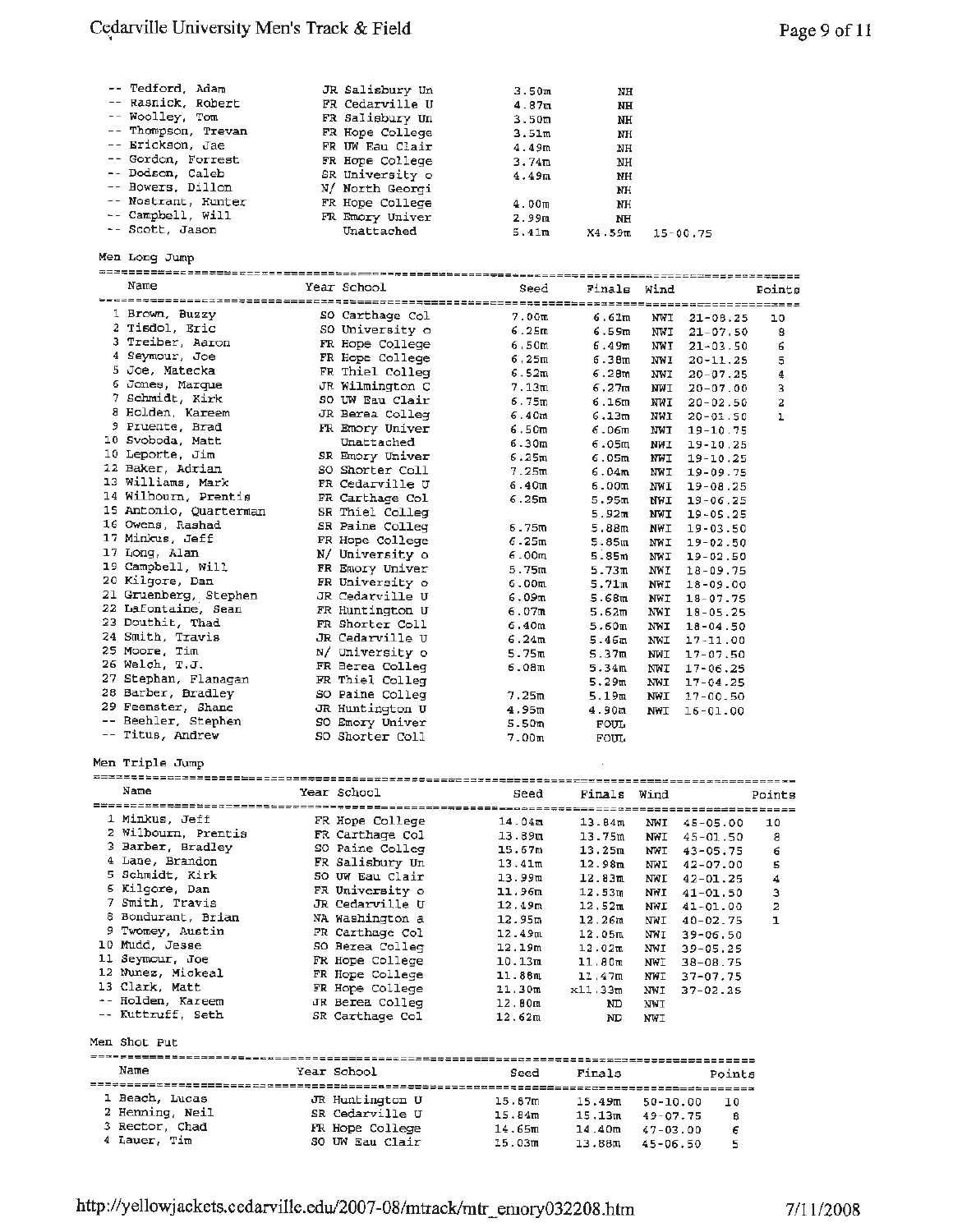### Cedarville University Men's Track & Field **Figure 2** 2 and 2 and 2 and 2 and 2 and 2 and 2 and 2 and 2 and 2 and 2 and 2 and 2 and 2 and 2 and 2 and 2 and 2 and 2 and 2 and 2 and 2 and 2 and 2 and 2 and 2 and 2 and 2 and 2

| -- Tedford, Adam    | JR Salisbury Un | 3.50m              | NH        |          |
|---------------------|-----------------|--------------------|-----------|----------|
| -- Rasnick, Robert  | FR Cedarville U | 4.87 <sub>m</sub>  | NH        |          |
| -- Woolley, Tom     | FR Salisbury Un | 3.50m              | NH        |          |
| -- Thompson, Trevan | FR Hope College | 3.51m              | <b>NH</b> |          |
| -- Erickson, Jae    | FR UW Eau Clair | 4.49m              | NH        |          |
| -- Gordon, Forrest  | FR Hope College | 3.74m              | NH        |          |
| -- Dodson, Caleb    | SR University o | 4.49m              | <b>NH</b> |          |
| -- Bowers, Dillon   | N/ North Georgi |                    | NH        |          |
| -- Nostrant, Hunter | FR Hope College | 4.00 <sub>II</sub> | NH        |          |
| -- Campbell, Will   | FR Emory Univer | 2.99m              | NH        |          |
| -- Scott, Jason     | Unattached      | 5.41m              | X4.59m    | 15-00.75 |

Men Long Jump

| Name                                    | Year School     | Seed              | Finals Wind       |            |              | Points |
|-----------------------------------------|-----------------|-------------------|-------------------|------------|--------------|--------|
|                                         |                 |                   |                   |            |              |        |
| 1 Brown, Buzzy                          | SO Carthage Col | 7.00 <sub>m</sub> | 6.61m             | NWI        | $21 - 08.25$ | 10     |
| 2 Tisdol, Eric                          | SO University o | 6.25m             | 6.59m             | NWI        | $21 - 07.50$ | 8      |
| 3 Treiber, Aaron                        | FR Hope College | 6.50m             | 6.49 <sub>m</sub> | NWI        | $21 - 03.50$ | 6      |
| 4 Seymour, Joe                          | FR Hope College | 6.25m             | 6.38m             | <b>NWI</b> | $20 - 11.25$ | 5      |
| 5 Joe, Matecka                          | FR Thiel Colleg | 6.52m             | 6.28m             | <b>NWI</b> | $20 - 07.25$ | 4      |
| 6 Jones, Marque                         | JR Wilmington C | 7.13m             | 6.27m             | <b>NWI</b> | $20 - 07.00$ | 3      |
| 7 Schmidt, Kirk                         | SO UW Eau Clair | 6.75m             | 6.16m             | NWI        | $20 - 02.50$ | 2      |
| 8 Holden, Kareem                        | JR Berea Colleg | 6.40 <sub>m</sub> | 6.13m             | NWI        | $20 - 01.50$ | ı      |
| 9 Pruente, Brad                         | FR Emory Univer | 6.50m             | 6.06m             | <b>NWI</b> | $19 - 10.75$ |        |
| 10 Svoboda, Matt                        | Unattached      | 6.30m             | 6.05m             | <b>NWI</b> | $19 - 10.25$ |        |
| 10 Leporte, Jim                         | SR Emory Univer | 6.25m             | 6.05m             | NWI        | $19 - 10.25$ |        |
| 12 Baker, Adrian                        | SO Shorter Coll | 7.25m             | 6.04m             | <b>NWI</b> | 19-09.75     |        |
| 13 Williams, Mark                       | FR Cedarville U | 6.40 <sub>m</sub> | 6.00m             | NWI        | $19 - 08.25$ |        |
| 14 Wilhourn, Prentis                    | FR Carthage Col | 6.25m             | 5.95m             | NWI        | $19 - 06.25$ |        |
| 15 Antonio, Quarterman                  | SR Thiel Colleg |                   | 5.92m             | <b>NWI</b> | 19-05.25     |        |
| 16 Owens, Rashad                        | SR Paine Colleg | 6.75m             | 5.88 <sub>m</sub> | NWI        | $19 - 03.50$ |        |
| 17 Minkus, Jeff                         | FR Hope College | 6.25m             | 5.85m             | NWI        | $19 - 02.50$ |        |
| 17 Long, Alan                           | N/ University o | 6.00 <sub>m</sub> | 5.85 <sub>m</sub> | NWI        | $19 - 02.50$ |        |
| 19 Campbell, Will                       | FR Emory Univer | 5.75m             | 5.73m             | NWI        | $18 - 09.75$ |        |
| 20 Kilgore, Dan                         | FR University o | 6.00 <sub>m</sub> | 5.71m             | NWI        | $18 - 09.00$ |        |
| 21 Gruenberg, Stephen                   | JR Cedarville U | 6.09m             | 5.68m             | NWI        | $18 - 07.75$ |        |
| 22 Lafontaine, Sean                     | FR Huntington U | 6.07m             | 5.62m             | NWI        | $18 - 05.25$ |        |
| 23 Douthit, Thad                        | FR Shorter Coll | 6.40m             | 5.60 <sub>m</sub> | NWI        | $18 - 04.50$ |        |
| 24 Smith, Travis                        | JR Cedarville U | 6.24m             | 5.46m             | NWI        | $17 - 11.00$ |        |
| 25 Moore, Tim                           | N/ University o | 5.75m             | 5.37m             | NWI        | $17 - 07.50$ |        |
| 26 Welch, T.J.                          | FR Berea Colleg | 6.08m             | 5.34 <sub>m</sub> | NWI        | $17 - 06.25$ |        |
| 27 Stephan, Flanagan                    | FR Thiel Colleg |                   | 5.29m             | NWI        | $17 - 04.25$ |        |
| 28 Barber, Bradlev                      | SO Paine Colleg | 7.25m             | 5.19m             | NWI        | $17 - 00.50$ |        |
| 29 Feemster, Shane                      | JR Huntington U | 4.95m             | 4.90 <sub>m</sub> | <b>NWT</b> | $16 - 01.00$ |        |
| -- Beehler, Stephen                     | SO Emory Univer | 5.50m             | FOUL.             |            |              |        |
| -- Titus, Andrew                        | SO Shorter Coll | 7.00m             | FOUL              |            |              |        |
| Men Triple Jump<br>,,,,,,,,,,,,,,,,,,,, |                 |                   |                   |            |              |        |
| Name                                    | Year School     | Seed              | Finals            | Wind       |              | Points |

| Natue               | Year School     | Seed   | Finals  | Wind         |               | Points         |
|---------------------|-----------------|--------|---------|--------------|---------------|----------------|
|                     |                 |        |         |              |               |                |
| 1 Minkus, Jeff      | FR Hope College | 14.04m | 13.84m  | NWI          | $45 - 05.00$  | 10             |
| 2 Wilbourn, Prentis | FR Carthage Col | 13.89m | 13.75m  | <b>NWI</b>   | $45 - 01.50$  | a              |
| 3 Barber, Bradley   | SO Paine Colleg | 15.67m | 13.25m  | NWI          | $43 - 05.75$  | 6              |
| 4 Lane, Brandon     | FR Salisbury Un | 13.41m | 12.98m  | <b>NWI</b>   | $42 - 07.00$  | 5              |
| 5 Schmidt, Kirk     | SO UW Eau Clair | 13.99m | 12.83m  | NWI          | $42 - 01.25$  | 4              |
| 6 Kilgore, Dan      | FR University o | 11.96m | 12.53m  | NWI          | $41 - 01.50$  | з              |
| 7 Smith, Travis     | JR Cedarville U | 12.49m | 12,52m  | NWI          | 41-01.00      | $\overline{z}$ |
| 8 Bondurant, Brian  | NA Washington a | 12.95m | 12.26m  | <b>NWI</b>   | $40 - 02.75$  | ı              |
| 9 Twomey, Austin    | FR Carthage Col | 12.49m | 12.05m  | NWI          | $39 - 06, 50$ |                |
| 10 Mudd, Jesse      | SO Berea Colleg | 12.19m | 12.02m  | NWI          | $39 - 05.25$  |                |
| 11 Seymour, Joe     | FR Hope College | 10.13m | 11.80m  | NWI          | $38 - 08.75$  |                |
| 12 Nunez, Mickeal   | FR Hope College | 11.88m | 11.47m  | NWI          | $37 - 07.75$  |                |
| 13 Clark, Matt      | FR Hope College | 11.30m | x11.33m | <b>NWI</b>   | $37 - 02.25$  |                |
| -- Holden, Kareem   | JR Berea Colleg | 12.80m | ND.     | <b>NWI</b>   |               |                |
| -- Kuttruff, Seth   | SR Carthage Col | 12.62m | ND      | NWI          |               |                |
| Men Shot Put        |                 |        |         |              |               |                |
| Name                | Year School     | Seed   | Finals  |              | Points        |                |
|                     |                 |        |         |              |               |                |
| 1 Beach, Lucas      | JR Huntington U | 15.87m | 15.49m  | $50 - 10.00$ | 10            |                |
| 2 Henning, Neil     | SR Cedarville U | 15.84m | 15.13m  | 49-07.75     | 8             |                |
| 3 Rector, Chad      | FR Hope College | 14.65m | 14.40m  | $47 - 03.00$ | 6             |                |
| 4 Lauer, Tim        | SO UW Eau Clair | 15.03m | 13.88m  | $45 - 06.50$ | 5             |                |
|                     |                 |        |         |              |               |                |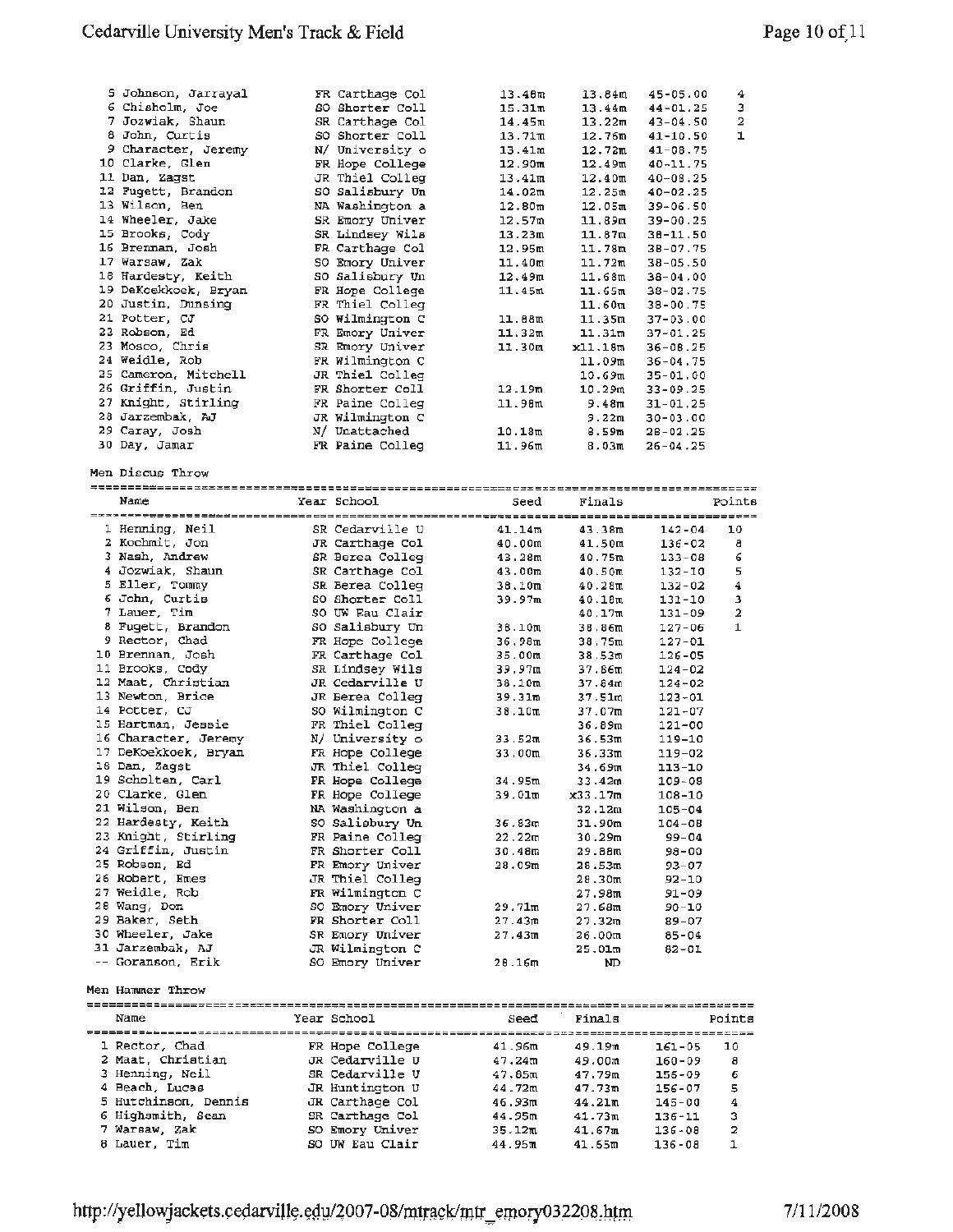| 5 Johnson, Jarrayal  | FR Carthage Col | 13.40m              | 13.84m             | 45-05.00     | 4      |
|----------------------|-----------------|---------------------|--------------------|--------------|--------|
| 6 Chisholm, Joe      | SO Shorter Coll | 15.31m              | 13.44m             | 44-01.25     | 3      |
| 7 Jozwiak, Shaun     | SR Carthage Col | 14.45m              | 13.22 <sub>m</sub> | 43-04.50     | 2      |
| 8 John, Curtis       | SO Shorter Coll | 13.71m              | 12.76m             |              | ı      |
|                      |                 |                     |                    | 41-10.50     |        |
| 9 Character, Jeremy  | N/ University o | 13.41m              | 12.72 <sub>m</sub> | $41 - 08.75$ |        |
| 10 Clarke, Glen      | FR Hope College | 12.90m              | 12.49m             | 40-11.75     |        |
| 11 Dan, Zagst        | JR Thiel Colleg | 13.41m              | 12.40 <sub>m</sub> | $40 - 08.25$ |        |
| 12 Fugett, Brandon   | SO Salisbury Un | 14.02m              | 12.25m             | $40 - 02.25$ |        |
| 13 Wilson, Ben       | NA Washington a |                     |                    |              |        |
|                      |                 | 12.80 <sub>m</sub>  | 12.05m             | $39 - 06.50$ |        |
| 14 Wheeler, Jake     | SR Emory Univer | 12.57m              | 11,89m             | 39-00.25     |        |
| 15 Brooks, Cody      | SR Lindsey Wils | 13.23m              | 11.87m             | 38-11.50     |        |
| 16 Brennan, Josh     | FR Carthage Col | 12.95m              | 11.78m             | 38-07.75     |        |
| 17 Warsaw, Zak       | SO Emory Univer | 11.40m              | 11.72m             | $38 - 05.50$ |        |
|                      |                 |                     |                    |              |        |
| 18 Hardesty, Keith   | SO Salisbury Un | 12.49 <sub>m</sub>  | 11.68m             | 38-04.00     |        |
| 19 DeKoekkoek, Bryan | FR Hope College | 11.45m              | 11.65m             | 38-02.75     |        |
| 20 Justin, Dunsing   | FR Thiel Colleq |                     | 11.60m             | 38-00.75     |        |
| 21 Potter, CJ        | SO Wilmington C | 11.88m              | 11.35m             | $37 - 03.00$ |        |
| 22 Robson, Ed        | FR Emory Univer | 11.32m              | 11.31m             | 37-01.25     |        |
|                      |                 |                     |                    |              |        |
| 23 Mosco, Chris      | SR Emory Univer | 11.30m              | x11.18m            | $36 - 08.25$ |        |
| 24 Weidle, Rob       | FR Wilmington C |                     | 11.09m             | $36 - 04.75$ |        |
| 25 Cameron, Mitchell | JR Thiel Colleg |                     | 10.69m             | 35-01.00     |        |
| 26 Griffin, Justin   | FR Shorter Coll | 12.19m              | 10.29m             | $33 - 09.25$ |        |
| 27 Knight, Stirling  |                 |                     |                    |              |        |
|                      | FR Paine Colleg | 11.98m              | 9.48π              | $31 - 01.25$ |        |
| 28 Jarzembak, AJ     | JR Wilmington C |                     | 9.22m              | $30 - 03.00$ |        |
| 29 Caray, Josh       | N/ Unattached   | 10.18m              | 8.59m              | $28 - 02.25$ |        |
| 30 Day, Jamar        | FR Paine Colleg | 11.96m              | 8.03m              | $26 - 04.25$ |        |
|                      |                 |                     |                    |              |        |
|                      |                 |                     |                    |              |        |
| Men Discus Throw     |                 |                     |                    |              |        |
|                      |                 |                     |                    |              |        |
| Name                 | Year School     | Seed                | Finals             |              | Points |
|                      |                 |                     |                    |              |        |
| 1 Henning, Neil      | SR Cedarville U | 41.14m              | 43.38m             |              | 10     |
|                      |                 |                     |                    | $142 - 04$   |        |
| 2 Kochmit, Jon       | JR Carthage Col | 40.00m              | 41.50m             | 136-02       | a      |
| 3 Nash, Andrew       | SR Berea Colleg | 43.28m              | 40.75m             | $133 - 08$   | 6      |
| 4 Jozwiak, Shaun     | SR Carthage Col | 43.00m              | 40.50m             | 132-10       | 5      |
| 5 Eller, Tommy       | SR Berea Colleg | 38.10m              | 40.28m             | $132 - 02$   | 4      |
|                      |                 |                     |                    |              |        |
| 6 John, Curtis       | SO Shorter Coll | 39.97m              | 40.18m             | 131-10       | з      |
| 7 Lauer, Tim         | SO UW Eau Clair |                     | 40.17m             | $131 - 09$   | 2      |
| 8 Fugett, Brandon    | SO Salisbury Un | 38.10m              | 38,86m             | 127-06       | 1      |
| 9 Rector, Chad       | FR Hope College | 36,98m              | 38.75m             | $127 - 01$   |        |
| 10 Brennan, Josh     | FR Carthage Col | 35.00 <sub>m</sub>  |                    |              |        |
|                      |                 |                     | 38.53m             | 126-05       |        |
| 11 Brooks, Cody      | SR Lindsey Wils | 39.97m              | 37.86m             | $124 - 02$   |        |
|                      |                 | 38.10m              | 37.84m             | $124 - 02$   |        |
| 12 Maat, Christian   | JR Cedarville U |                     |                    |              |        |
| 13 Newton, Brice     |                 | 39.31m              |                    |              |        |
|                      | JR Berea Colleg |                     | 37.51m             | $123 - 01$   |        |
| 14 Potter, CJ        | SO Wilmington C | 38.10m              | 37.07m             | 121-07       |        |
| 15 Hartman, Jessie   | FR Thiel Colleg |                     | 36.89m             | 121-00       |        |
| 16 Character, Jeremy | N/ University o | 33.52m              | 36.53m             | 119-10       |        |
| 17 DeKoekkoek, Bryan | FR Hope College | 33.00m              | 36.33m             | 119-02       |        |
|                      |                 |                     |                    |              |        |
| 18 Dan, Zagst        | JR Thiel Colleg |                     | 34.69m             | 113-10       |        |
| 19 Scholten, Carl    | FR Hope College | 34.95m              | 33.42m             | $109 - 08$   |        |
| 20 Clarke, Glen      | FR Hope College | 39.01m              | x33.17m            | $108 - 10$   |        |
| 21 Wilson, Ben       | NA Washington a |                     | 32.12m             | $105 - 04$   |        |
|                      |                 |                     |                    |              |        |
| 22 Hardesty, Keith   | SO Salisbury Un | 36.83m              | 31.90m             | $104 - 08$   |        |
| 23 Knight, Stirling  | FR Paine Colleg | 22.22 <sub>m</sub>  | 30.29m             | 99-04        |        |
| 24 Griffin, Justin   | FR Shorter Coll | 30.48m              | 29.88m             | 98-00        |        |
| 25 Robson, Ed        | FR Emory Univer | 28.09m              | 28.53m             | $93 - 07$    |        |
| 26 Robert, Emes      | JR Thiel Colleg |                     | 28.30m             | 92-10        |        |
|                      |                 |                     |                    |              |        |
| 27 Weidle, Rob       | FR Wilmington C |                     | 27.98m             | 91-09        |        |
| 28 Wang, Don         | SO Emory Univer | 29.71m              | 27.68m             | 90-10        |        |
| 29 Baker, Seth       | FR Shorter Coll | 27.43 <sub>10</sub> | 27.32m             | 89-07        |        |
| 30 Wheeler, Jake     | SR Emory Univer | 27.43m              | 26.00m             | 85-04        |        |
| 31 Jarzembak, AJ     | JR Wilmington C |                     | 25.01 <sub>m</sub> | 82-OI        |        |
|                      |                 |                     |                    |              |        |
| -- Goranson, Erik    | SO Emory Univer | 28.16m              | ND                 |              |        |
|                      |                 |                     |                    |              |        |
| Men Hammer Throw     |                 |                     |                    |              |        |
|                      |                 |                     |                    |              |        |
| Name                 | Year School     | Seed                | Finals             |              | Points |
|                      |                 |                     |                    |              |        |
|                      |                 |                     |                    |              |        |
| 1 Rector, Chad       | FR Hope College | 41.96m              | 49.19m             | 161-05       | 10     |
| 2 Maat, Christian    | JR Cedarville U | 47.24m              | 49.00m             | $160 - 09$   | а      |
| 3 Henning, Neil      | SR Cedarville U | 47.85m              | 47.79m             | 156-09       | 6      |
|                      |                 |                     |                    |              |        |
| 4 Beach, Lucas       | JR Huntington U | 44.72m              | 47.73m             | 156-07       | 5      |
| 5 Hutchinson, Dennis | JR Carthage Col | 46.93m              | 44.21m             | 145-00       | 4      |
| 6 Highsmith, Sean    | SR Carthage Col | 44.95m              | 41.73m             | $136 - 11$   | з      |
| 7 Warsaw, Zak        | SO Emory Univer | 35.12 <sub>m</sub>  | 41.67ա             | $136 - 08$   | 2      |
| 8 Lauer, Tim         | SO UW Eau Clair | 44.95m              | 41.65m             | $136 - 08$   | ı      |